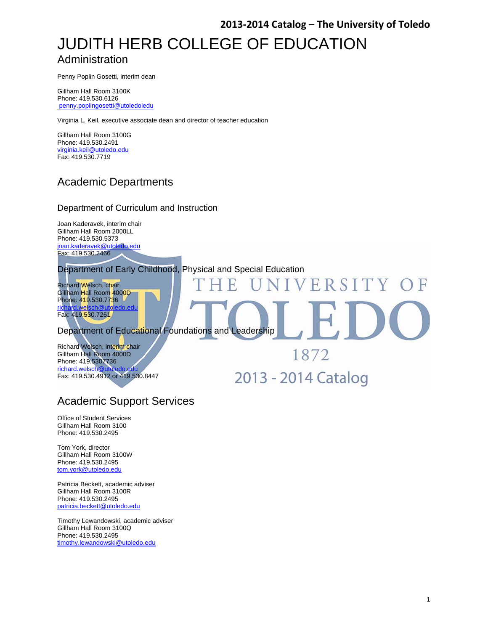# JUDITH HERB COLLEGE OF EDUCATION Administration

Penny Poplin Gosetti, interim dean

Gillham Hall Room 3100K Phone: 419.530.6126 penny.poplingosetti@utoledoledu

Virginia L. Keil, executive associate dean and director of teacher education

Gillham Hall Room 3100G Phone: 419.530.2491 virginia.keil@utoledo.edu Fax: 419.530.7719

### Academic Departments

#### Department of Curriculum and Instruction

Joan Kaderavek, interim chair Gillham Hall Room 2000LL Phone: 419.530.5373 joan.kaderavek@utoledo.edu Fax: 419.530.2466

Department of Early Childhood, Physical and Special Education

Richard Welsch, chair Gillham Hall Room 4000D Phone: 419.530.7736 richard.welsch@utoledo.edu Fax: 419.530.7261

Department of Educational Foundations and Leadership

Richard Welsch, interim chair Gillham Hall Room 4000D Phone: 419.5307736 richard.welsch Fax: 419.530.4912 or 419.530.8447

2013 - 2014 Catalog

1872

VERSITY

### Academic Support Services

Office of Student Services Gillham Hall Room 3100 Phone: 419.530.2495

Tom York, director Gillham Hall Room 3100W Phone: 419.530.2495 tom.york@utoledo.edu

Patricia Beckett, academic adviser Gillham Hall Room 3100R Phone: 419.530.2495 patricia.beckett@utoledo.edu

Timothy Lewandowski, academic adviser Gillham Hall Room 3100Q Phone: 419.530.2495 timothy.lewandowski@utoledo.edu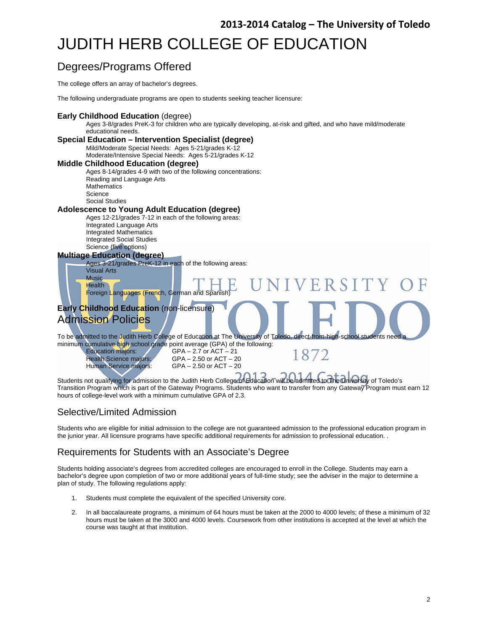# JUDITH HERB COLLEGE OF EDUCATION

## Degrees/Programs Offered

The college offers an array of bachelor's degrees.

The following undergraduate programs are open to students seeking teacher licensure:

#### **Early Childhood Education** (degree)

Ages 3-8/grades PreK-3 for children who are typically developing, at-risk and gifted, and who have mild/moderate educational needs.

#### **Special Education – Intervention Specialist (degree)**  Mild/Moderate Special Needs: Ages 5-21/grades K-12 Moderate/Intensive Special Needs: Ages 5-21/grades K-12 **Middle Childhood Education (degree)**  Ages 8-14/grades 4-9 with two of the following concentrations: Reading and Language Arts **Mathematics** Science Social Studies **Adolescence to Young Adult Education (degree)**  Ages 12-21/grades 7-12 in each of the following areas: Integrated Language Arts Integrated Mathematics Integrated Social Studies Science (five options) **Multiage Education (degree)**  Ages 3-21/grades PreK-12 in each of the following areas: Visual Arts Music VERSITY **Health** Foreign Languages (French, German and Spanish) **Early Childhood Education** (non-licensure) Admission Policies To be admitted to the Judith Herb College of Education at The University of Toledo, direct-from-high-school students need a minimum cumulative high school grade point average (GPA) of the following: Education majors:<br>
Health Science majors: GPA – 2.50 or ACT – 21 1872 Health Science majors: GPA – 2.50 or ACT – 20<br>Human Service majors: GPA – 2.50 or ACT – 20  $GPA - 2.50$  or  $ACT - 20$ Students not qualifying for admission to the Judith Herb College of Education will be admitted to The University of Toledo's

Transition Program which is part of the Gateway Programs. Students who want to transfer from any Gateway Program must earn 12 hours of college-level work with a minimum cumulative GPA of 2.3.

### Selective/Limited Admission

Students who are eligible for initial admission to the college are not guaranteed admission to the professional education program in the junior year. All licensure programs have specific additional requirements for admission to professional education. .

### Requirements for Students with an Associate's Degree

Students holding associate's degrees from accredited colleges are encouraged to enroll in the College. Students may earn a bachelor's degree upon completion of two or more additional years of full-time study; see the adviser in the major to determine a plan of study. The following regulations apply:

- 1. Students must complete the equivalent of the specified University core.
- 2. In all baccalaureate programs, a minimum of 64 hours must be taken at the 2000 to 4000 levels; of these a minimum of 32 hours must be taken at the 3000 and 4000 levels. Coursework from other institutions is accepted at the level at which the course was taught at that institution.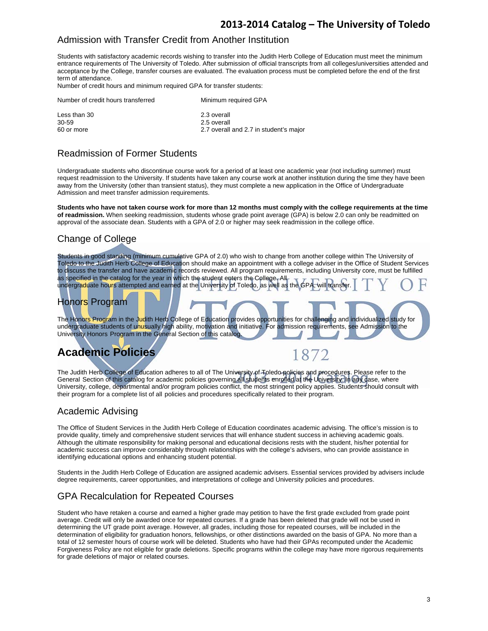### Admission with Transfer Credit from Another Institution

Students with satisfactory academic records wishing to transfer into the Judith Herb College of Education must meet the minimum entrance requirements of The University of Toledo. After submission of official transcripts from all colleges/universities attended and acceptance by the College, transfer courses are evaluated. The evaluation process must be completed before the end of the first term of attendance.

Number of credit hours and minimum required GPA for transfer students:

| Minimum required GPA                   |
|----------------------------------------|
| 2.3 overall                            |
| 2.5 overall                            |
| 2.7 overall and 2.7 in student's major |
|                                        |

### Readmission of Former Students

Undergraduate students who discontinue course work for a period of at least one academic year (not including summer) must request readmission to the University. If students have taken any course work at another institution during the time they have been away from the University (other than transient status), they must complete a new application in the Office of Undergraduate Admission and meet transfer admission requirements.

**Students who have not taken course work for more than 12 months must comply with the college requirements at the time of readmission.** When seeking readmission, students whose grade point average (GPA) is below 2.0 can only be readmitted on approval of the associate dean. Students with a GPA of 2.0 or higher may seek readmission in the college office.

### Change of College

Students in good standing (minimum cumulative GPA of 2.0) who wish to change from another college within The University of Toledo to the Judith Herb College of Education should make an appointment with a college adviser in the Office of Student Services to discuss the transfer and have academic records reviewed. All program requirements, including University core, must be fulfilled as specified in the catalog for the year in which the student enters the College. All undergraduate hours attempted and earned at the University of Toledo, as well as the GPA, will transfer.

### Honors Program

The Honors Program in the Judith Herb College of Education provides opportunities for challenging and individualized study for undergraduate students of unusually high ability, motivation and initiative. For admission requirements, see Admission to the University Honors Program in the General Section of this catalog.

# **Academic Policies**

The Judith Herb College of Education adheres to all of The University of Toledo policies and procedures. Please refer to the General Section of this catalog for academic policies governing all students enrolled at the University. In any case, where University, college, departmental and/or program policies conflict, the most stringent policy applies. Students should consult with their program for a complete list of all policies and procedures specifically related to their program.

1872

### Academic Advising

The Office of Student Services in the Judith Herb College of Education coordinates academic advising. The office's mission is to provide quality, timely and comprehensive student services that will enhance student success in achieving academic goals. Although the ultimate responsibility for making personal and educational decisions rests with the student, his/her potential for academic success can improve considerably through relationships with the college's advisers, who can provide assistance in identifying educational options and enhancing student potential.

Students in the Judith Herb College of Education are assigned academic advisers. Essential services provided by advisers include degree requirements, career opportunities, and interpretations of college and University policies and procedures.

### GPA Recalculation for Repeated Courses

Student who have retaken a course and earned a higher grade may petition to have the first grade excluded from grade point average. Credit will only be awarded once for repeated courses. If a grade has been deleted that grade will not be used in determining the UT grade point average. However, all grades, including those for repeated courses, will be included in the determination of eligibility for graduation honors, fellowships, or other distinctions awarded on the basis of GPA. No more than a total of 12 semester hours of course work will be deleted. Students who have had their GPAs recomputed under the Academic Forgiveness Policy are not eligible for grade deletions. Specific programs within the college may have more rigorous requirements for grade deletions of major or related courses.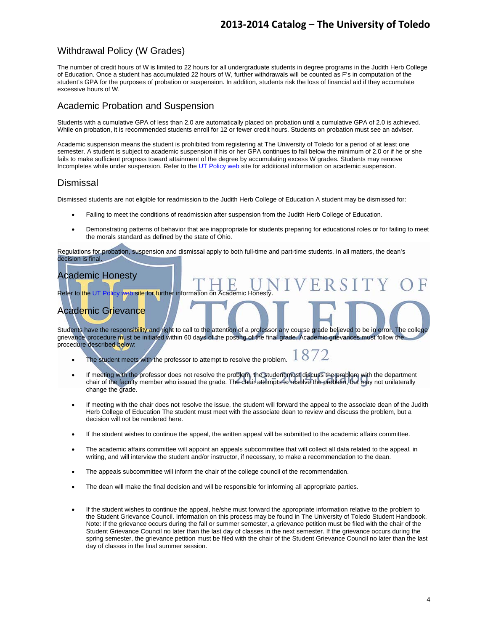### Withdrawal Policy (W Grades)

The number of credit hours of W is limited to 22 hours for all undergraduate students in degree programs in the Judith Herb College of Education. Once a student has accumulated 22 hours of W, further withdrawals will be counted as F's in computation of the student's GPA for the purposes of probation or suspension. In addition, students risk the loss of financial aid if they accumulate excessive hours of W.

### Academic Probation and Suspension

Students with a cumulative GPA of less than 2.0 are automatically placed on probation until a cumulative GPA of 2.0 is achieved. While on probation, it is recommended students enroll for 12 or fewer credit hours. Students on probation must see an adviser.

Academic suspension means the student is prohibited from registering at The University of Toledo for a period of at least one semester. A student is subject to academic suspension if his or her GPA continues to fall below the minimum of 2.0 or if he or she fails to make sufficient progress toward attainment of the degree by accumulating excess W grades. Students may remove Incompletes while under suspension. Refer to the UT Policy web site for additional information on academic suspension.

### **Dismissal**

Dismissed students are not eligible for readmission to the Judith Herb College of Education A student may be dismissed for:

- Failing to meet the conditions of readmission after suspension from the Judith Herb College of Education.
- Demonstrating patterns of behavior that are inappropriate for students preparing for educational roles or for failing to meet the morals standard as defined by the state of Ohio.

Regulations for probation, suspension and dismissal apply to both full-time and part-time students. In all matters, the dean's decision is final.

### Academic Honesty

Refer to the UT Policy web site for further information on Academic Honesty

### Academic Grievance

Students have the responsibility and right to call to the attention of a professor any course grade believed to be in error. The college grievance procedure must be initiated within 60 days of the posting of the final grade. Academic grievances must follow the procedure described below:

- 1872 • The student meets with the professor to attempt to resolve the problem.
- If meeting with the professor does not resolve the problem, the student must discuss the problem with the department chair of the faculty member who issued the grade. The chair attempts to resolve the problem, but may not unilaterally change the grade.
- If meeting with the chair does not resolve the issue, the student will forward the appeal to the associate dean of the Judith Herb College of Education The student must meet with the associate dean to review and discuss the problem, but a decision will not be rendered here.
- If the student wishes to continue the appeal, the written appeal will be submitted to the academic affairs committee.
- The academic affairs committee will appoint an appeals subcommittee that will collect all data related to the appeal, in writing, and will interview the student and/or instructor, if necessary, to make a recommendation to the dean.
- The appeals subcommittee will inform the chair of the college council of the recommendation.
- The dean will make the final decision and will be responsible for informing all appropriate parties.
- If the student wishes to continue the appeal, he/she must forward the appropriate information relative to the problem to the Student Grievance Council. Information on this process may be found in The University of Toledo Student Handbook. Note: If the grievance occurs during the fall or summer semester, a grievance petition must be filed with the chair of the Student Grievance Council no later than the last day of classes in the next semester. If the grievance occurs during the spring semester, the grievance petition must be filed with the chair of the Student Grievance Council no later than the last day of classes in the final summer session.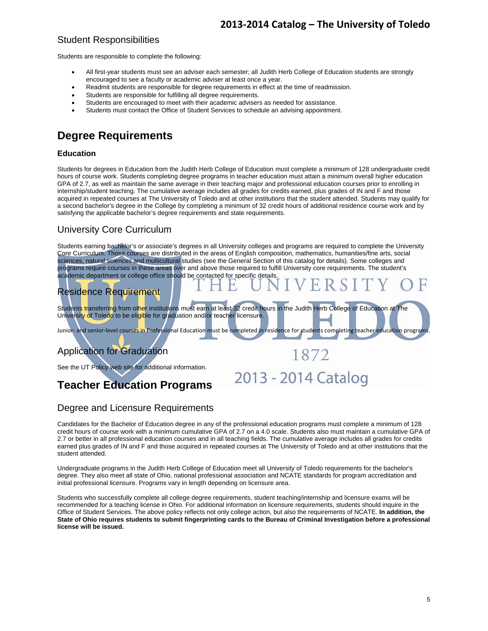### Student Responsibilities

Students are responsible to complete the following:

- All first-year students must see an adviser each semester; all Judith Herb College of Education students are strongly encouraged to see a faculty or academic adviser at least once a year.
- Readmit students are responsible for degree requirements in effect at the time of readmission.
- Students are responsible for fulfilling all degree requirements.
- Students are encouraged to meet with their academic advisers as needed for assistance.
- Students must contact the Office of Student Services to schedule an advising appointment.

### **Degree Requirements**

#### **Education**

Students for degrees in Education from the Judith Herb College of Education must complete a minimum of 128 undergraduate credit hours of course work. Students completing degree programs in teacher education must attain a minimum overall higher education GPA of 2.7, as well as maintain the same average in their teaching major and professional education courses prior to enrolling in internship/student teaching. The cumulative average includes all grades for credits earned, plus grades of IN and F and those acquired in repeated courses at The University of Toledo and at other institutions that the student attended. Students may qualify for a second bachelor's degree in the College by completing a minimum of 32 credit hours of additional residence course work and by satisfying the applicable bachelor's degree requirements and state requirements.

### University Core Curriculum

Students earning bachelor's or associate's degrees in all University colleges and programs are required to complete the University Core Curriculum. Those courses are distributed in the areas of English composition, mathematics, humanities/fine arts, social sciences, natural sciences and multicultural studies (see the General Section of this catalog for details). Some colleges and programs require courses in these areas over and above those required to fulfill University core requirements. The student's academic department or college office should be contacted for specific details.

### Residence Requirement

Students transferring from other institutions must earn at least 32 credit hours in the Judith Herb College of Education at The University of Toledo to be eligible for graduation and/or teacher licensure.

1872

2013 - 2014 Catalog

Junior- and senior-level courses in Professional Education must be completed in residence for students completing teacher education programs

### Application for Graduation

See the UT Policy web site for additional information.



### Degree and Licensure Requirements

Candidates for the Bachelor of Education degree in any of the professional education programs must complete a minimum of 128 credit hours of course work with a minimum cumulative GPA of 2.7 on a 4.0 scale. Students also must maintain a cumulative GPA of 2.7 or better in all professional education courses and in all teaching fields. The cumulative average includes all grades for credits earned plus grades of IN and F and those acquired in repeated courses at The University of Toledo and at other institutions that the student attended.

Undergraduate programs in the Judith Herb College of Education meet all University of Toledo requirements for the bachelor's degree. They also meet all state of Ohio, national professional association and NCATE standards for program accreditation and initial professional licensure. Programs vary in length depending on licensure area.

Students who successfully complete all college degree requirements, student teaching/internship and licensure exams will be recommended for a teaching license in Ohio. For additional information on licensure requirements, students should inquire in the Office of Student Services. The above policy reflects not only college action, but also the requirements of NCATE. **In addition, the State of Ohio requires students to submit fingerprinting cards to the Bureau of Criminal Investigation before a professional license will be issued.**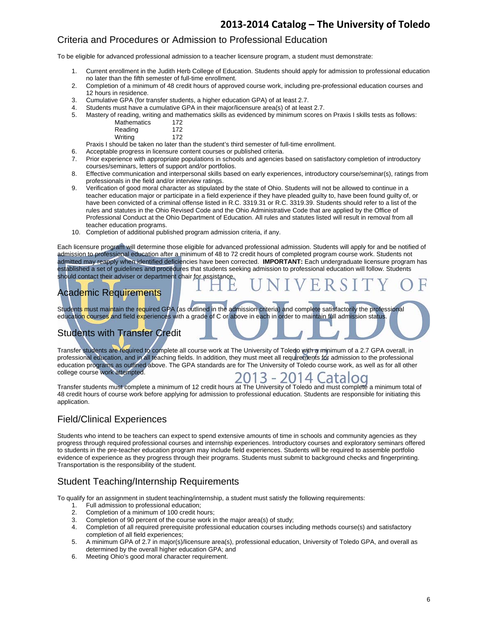### Criteria and Procedures or Admission to Professional Education

To be eligible for advanced professional admission to a teacher licensure program, a student must demonstrate:

- 1. Current enrollment in the Judith Herb College of Education. Students should apply for admission to professional education no later than the fifth semester of full-time enrollment.
- 2. Completion of a minimum of 48 credit hours of approved course work, including pre-professional education courses and 12 hours in residence.
- 3. Cumulative GPA (for transfer students, a higher education GPA) of at least 2.7.
- 4. Students must have a cumulative GPA in their major/licensure area(s) of at least 2.7.
- 5. Mastery of reading, writing and mathematics skills as evidenced by minimum scores on Praxis I skills tests as follows: 72<br>72

| Mathematics | 172 |
|-------------|-----|
| Reading     | 172 |

Writing 172

Praxis I should be taken no later than the student's third semester of full-time enrollment.

6. Acceptable progress in licensure content courses or published criteria.

- 7. Prior experience with appropriate populations in schools and agencies based on satisfactory completion of introductory courses/seminars, letters of support and/or portfolios.
- 8. Effective communication and interpersonal skills based on early experiences, introductory course/seminar(s), ratings from professionals in the field and/or interview ratings.
- 9. Verification of good moral character as stipulated by the state of Ohio. Students will not be allowed to continue in a teacher education major or participate in a field experience if they have pleaded guilty to, have been found guilty of, or have been convicted of a criminal offense listed in R.C. 3319.31 or R.C. 3319.39. Students should refer to a list of the rules and statutes in the Ohio Revised Code and the Ohio Administrative Code that are applied by the Office of Professional Conduct at the Ohio Department of Education. All rules and statutes listed will result in removal from all teacher education programs.
- 10. Completion of additional published program admission criteria, if any.

Each licensure program will determine those eligible for advanced professional admission. Students will apply for and be notified of admission to professional education after a minimum of 48 to 72 credit hours of completed program course work. Students not admitted may reapply when identified deficiencies have been corrected. **IMPORTANT:** Each undergraduate licensure program has established a set of guidelines and procedures that students seeking admission to professional education will follow. Students should contact their adviser or department chair for assistance.

#### I Academic Requirements

Students must maintain the required GPA (as outlined in the admission criteria) and complete satisfactorily the professional education courses and field experiences with a grade of C or above in each in order to maintain full admission status.

# Students with Transfer Credit

Transfer students are required to complete all course work at The University of Toledo with a minimum of a 2.7 GPA overall, in professional education, and in all teaching fields. In addition, they must meet all requirements for admission to the professional education programs as outlined above. The GPA standards are for The University of Toledo course work, as well as for all other college course work attempted.

2013 - 2014 Catalog Transfer students must complete a minimum of 12 credit hours at The University of Toledo and must complete a minimum total of 48 credit hours of course work before applying for admission to professional education. Students are responsible for initiating this application.

### Field/Clinical Experiences

Students who intend to be teachers can expect to spend extensive amounts of time in schools and community agencies as they progress through required professional courses and internship experiences. Introductory courses and exploratory seminars offered to students in the pre-teacher education program may include field experiences. Students will be required to assemble portfolio evidence of experience as they progress through their programs. Students must submit to background checks and fingerprinting. Transportation is the responsibility of the student.

### Student Teaching/Internship Requirements

To qualify for an assignment in student teaching/internship, a student must satisfy the following requirements:

- 1. Full admission to professional education;
- 2. Completion of a minimum of 100 credit hours;
- 3. Completion of 90 percent of the course work in the major area(s) of study;
- 4. Completion of all required prerequisite professional education courses including methods course(s) and satisfactory completion of all field experiences;
- 5. A minimum GPA of 2.7 in major(s)/licensure area(s), professional education, University of Toledo GPA, and overall as determined by the overall higher education GPA; and
- 6. Meeting Ohio's good moral character requirement.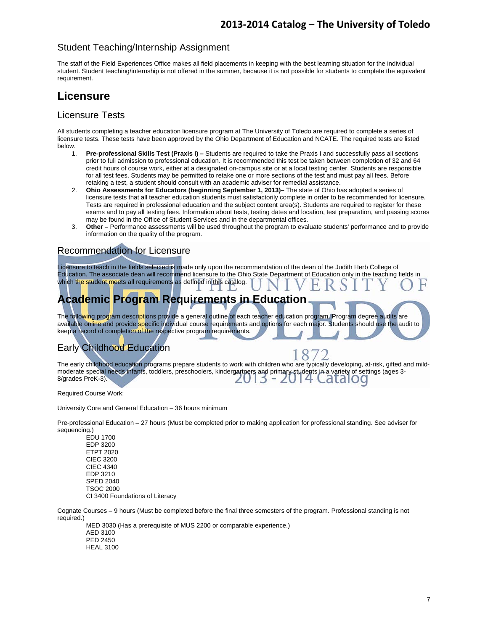### Student Teaching/Internship Assignment

The staff of the Field Experiences Office makes all field placements in keeping with the best learning situation for the individual student. Student teaching/internship is not offered in the summer, because it is not possible for students to complete the equivalent requirement.

### **Licensure**

### Licensure Tests

All students completing a teacher education licensure program at The University of Toledo are required to complete a series of licensure tests. These tests have been approved by the Ohio Department of Education and NCATE. The required tests are listed below.

- 1. **Pre-professional Skills Test (Praxis I)** Students are required to take the Praxis I and successfully pass all sections prior to full admission to professional education. It is recommended this test be taken between completion of 32 and 64 credit hours of course work, either at a designated on-campus site or at a local testing center. Students are responsible for all test fees. Students may be permitted to retake one or more sections of the test and must pay all fees. Before retaking a test, a student should consult with an academic adviser for remedial assistance.
- 2. **Ohio Assessments for Educators (beginning September 1, 2013)–** The state of Ohio has adopted a series of licensure tests that all teacher education students must satisfactorily complete in order to be recommended for licensure. Tests are required in professional education and the subject content area(s). Students are required to register for these exams and to pay all testing fees. Information about tests, testing dates and location, test preparation, and passing scores may be found in the Office of Student Services and in the departmental offices.
- 3. **Other** Performance **a**ssessments will be used throughout the program to evaluate students' performance and to provide information on the quality of the program.

### Recommendation for Licensure

Licensure to teach in the fields selected is made only upon the recommendation of the dean of the Judith Herb College of Education. The associate dean will recommend licensure to the Ohio State Department of Education only in the teaching fields in which the student meets all requirements as defined in this catalog.

# **Academic Program Requirements in Education**

The following program descriptions provide a general outline of each teacher education program. Program degree audits are available online and provide specific individual course requirements and options for each major. Students should use the audit to keep a record of completion of the respective program requirements.

### Early Childhood Education

The early childhood education programs prepare students to work with children who are typically developing, at-risk, gifted and mildmoderate special needs infants, toddlers, preschoolers, kindergartners and primary students in a variety of settings (ages 3-<br>8/grades PreK-3). 8/grades PreK-3).  $\overline{5}$ 

Required Course Work:

University Core and General Education – 36 hours minimum

Pre-professional Education – 27 hours (Must be completed prior to making application for professional standing. See adviser for sequencing.)

 EDU 1700 EDP 3200 ETPT 2020 CIEC 3200 CIEC 4340 EDP 3210 SPED 2040 TSOC 2000 CI 3400 Foundations of Literacy

Cognate Courses – 9 hours (Must be completed before the final three semesters of the program. Professional standing is not required.)

 MED 3030 (Has a prerequisite of MUS 2200 or comparable experience.) AED 3100 PED 2450 HEAL 3100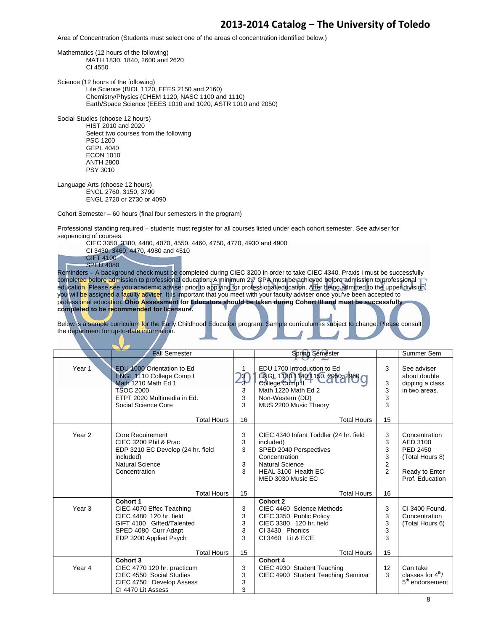Area of Concentration (Students must select one of the areas of concentration identified below.)

Mathematics (12 hours of the following) MATH 1830, 1840, 2600 and 2620 CI 4550 Science (12 hours of the following) Life Science (BIOL 1120, EEES 2150 and 2160) Chemistry/Physics (CHEM 1120, NASC 1100 and 1110) Earth/Space Science (EEES 1010 and 1020, ASTR 1010 and 2050) Social Studies (choose 12 hours) HIST 2010 and 2020 Select two courses from the following PSC 1200 GEPL 4040 ECON 1010 ANTH 2800 PSY 3010 Language Arts (choose 12 hours) ENGL 2760, 3150, 3790 ENGL 2720 or 2730 or 4090 Cohort Semester – 60 hours (final four semesters in the program) Professional standing required – students must register for all courses listed under each cohort semester. See adviser for sequencing of courses. CIEC 3350, 3380, 4480, 4070, 4550, 4460, 4750, 4770, 4930 and 4900 CI 3430, 3460, 4470, 4980 and 4510 GIFT 4100 SPED 4080 Reminders – A background check must be completed during CIEC 3200 in order to take CIEC 4340. Praxis I must be successfully completed before admission to professional education. A minimum 2.7 GPA must be achieved before admission to professional education. Please see you academic adviser prior to applying for professional education. After being admitted to the upper division, you will be assigned a faculty adviser. It is important that you meet with your faculty adviser once you've been accepted to

professional education**. Ohio Assessment for Educators should be taken during Cohort III and must be successfully completed to be recommended for licensure.** 

Below is a sample curriculum for the Early Childhood Education program. Sample curriculum is subject to change. Please consult the department for up-to-date information.

|                   | <b>Fall Semester</b>                                                                                                                                    |                               | <b>Spring Semester</b>                                                                                                                                               |                                                      | Summer Sem                                                                                    |
|-------------------|---------------------------------------------------------------------------------------------------------------------------------------------------------|-------------------------------|----------------------------------------------------------------------------------------------------------------------------------------------------------------------|------------------------------------------------------|-----------------------------------------------------------------------------------------------|
| Year 1            | EDU 1000 Orientation to Ed<br>ENGL 1110 College Comp I<br>Math 1210 Math Ed 1<br><b>TSOC 2000</b><br>ETPT 2020 Multimedia in Ed.<br>Social Science Core | $\frac{13}{3}$<br>3<br>3<br>3 | EDU 1700 Introduction to Ed<br>ENGL 1130,1140,1150, 2950, 2960<br>College Comp <sup>II</sup><br>Math 1220 Math Ed 2<br>Non-Western (DD)<br>MUS 2200 Music Theory     | 3<br>3<br>3<br>3<br>3                                | See adviser<br>about double<br>dipping a class<br>in two areas.                               |
|                   | <b>Total Hours</b>                                                                                                                                      | 16                            | <b>Total Hours</b>                                                                                                                                                   | 15                                                   |                                                                                               |
| Year <sub>2</sub> | <b>Core Requirement</b><br>CIEC 3200 Phil & Prac<br>EDP 3210 EC Develop (24 hr. field<br>included)<br><b>Natural Science</b><br>Concentration           | 3<br>3<br>3<br>3<br>3         | CIEC 4340 Infant Toddler (24 hr. field<br>included)<br>SPED 2040 Perspectives<br>Concentration<br><b>Natural Science</b><br>HEAL 3100 Health EC<br>MED 3030 Music EC | 3<br>3<br>3<br>3<br>$\overline{2}$<br>$\overline{2}$ | Concentration<br>AED 3100<br>PED 2450<br>(Total Hours 8)<br>Ready to Enter<br>Prof. Education |
|                   | <b>Total Hours</b>                                                                                                                                      | 15                            | <b>Total Hours</b>                                                                                                                                                   | 16                                                   |                                                                                               |
| Year <sub>3</sub> | Cohort 1<br>CIEC 4070 Effec Teaching<br>CIEC 4480 120 hr. field<br>GIFT 4100 Gifted/Talented<br>SPED 4080 Curr Adapt<br>EDP 3200 Applied Psych          | 3<br>3<br>3<br>3<br>3         | Cohort 2<br>CIEC 4460 Science Methods<br>CIEC 3350 Public Policy<br>CIEC 3380 120 hr. field<br>CI 3430 Phonics<br>CI 3460 Lit & ECE                                  | 3<br>3<br>3<br>3<br>3                                | CI 3400 Found.<br>Concentration<br>(Total Hours 6)                                            |
|                   | <b>Total Hours</b>                                                                                                                                      | 15                            | <b>Total Hours</b>                                                                                                                                                   | 15                                                   |                                                                                               |
| Year 4            | Cohort 3<br>CIEC 4770 120 hr. practicum<br>CIEC 4550 Social Studies<br>CIEC 4750 Develop Assess<br>CI 4470 Lit Assess                                   | 3<br>3<br>3<br>3              | <b>Cohort 4</b><br>CIEC 4930 Student Teaching<br>CIEC 4900 Student Teaching Seminar                                                                                  | 12<br>3                                              | Can take<br>classes for $4th$ /<br>5 <sup>th</sup> endorsement                                |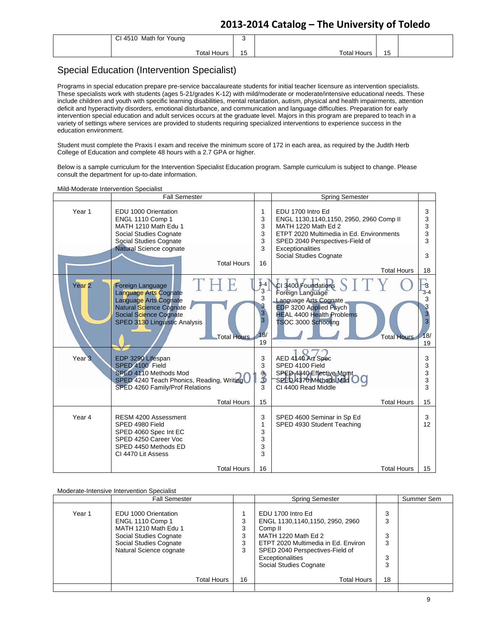| CI 4510<br>Math for Young |           |             |    |  |
|---------------------------|-----------|-------------|----|--|
| Total Hours               | . .<br>∪ו | Total Hours | 15 |  |

### Special Education (Intervention Specialist)

Programs in special education prepare pre-service baccalaureate students for initial teacher licensure as intervention specialists. These specialists work with students (ages 5-21/grades K-12) with mild/moderate or moderate/intensive educational needs. These include children and youth with specific learning disabilities, mental retardation, autism, physical and health impairments, attention deficit and hyperactivity disorders, emotional disturbance, and communication and language difficulties. Preparation for early intervention special education and adult services occurs at the graduate level. Majors in this program are prepared to teach in a variety of settings where services are provided to students requiring specialized interventions to experience success in the education environment.

Student must complete the Praxis I exam and receive the minimum score of 172 in each area, as required by the Judith Herb College of Education and complete 48 hours with a 2.7 GPA or higher.

Below is a sample curriculum for the Intervention Specialist Education program. Sample curriculum is subject to change. Please consult the department for up-to-date information.

#### Mild-Moderate Intervention Specialist

|                   | <b>Fall Semester</b>                                                                                                                                                                         |                                                                       | <b>Spring Semester</b>                                                                                                                                                                                                                 |                                                             |
|-------------------|----------------------------------------------------------------------------------------------------------------------------------------------------------------------------------------------|-----------------------------------------------------------------------|----------------------------------------------------------------------------------------------------------------------------------------------------------------------------------------------------------------------------------------|-------------------------------------------------------------|
| Year 1            | EDU 1000 Orientation<br>ENGL 1110 Comp 1<br>MATH 1210 Math Edu 1<br>Social Studies Cognate<br>Social Studies Cognate<br>Natural Science cognate<br><b>Total Hours</b>                        | 1<br>3<br>3<br>3<br>3<br>3<br>16                                      | EDU 1700 Intro Ed<br>ENGL 1130,1140,1150, 2950, 2960 Comp II<br>MATH 1220 Math Ed 2<br>ETPT 2020 Multimedia in Ed. Environments<br>SPED 2040 Perspectives-Field of<br>Exceptionalities<br>Social Studies Cognate<br><b>Total Hours</b> | 3<br>3<br>3<br>3<br>3<br>3<br>18                            |
| Year <sub>2</sub> | THE<br>Foreign Language<br><b>Language Arts Cognate</b><br>Language Arts Cognate<br>Natural Science Cognate<br>Social Science Cognate<br>SPED 3130 Linguistic Analysis<br><b>Total Hours</b> | $3-4$<br>$\overline{3}$<br>3<br>3<br>3 <sup>1</sup><br>3<br>18/<br>19 | CI 3400 Foundations<br>Foreign Language<br>Language Arts Cognate<br>EDP 3200 Applied Psych<br><b>HEAL 4400 Health Problems</b><br>TSOC 3000 Schooling<br><b>Total Hours</b>                                                            | -3<br>$3 - 4$<br>3<br>3<br>3<br>$\overline{3}$<br>18/<br>19 |
| Year <sub>3</sub> | EDP 3290 Lifespan<br>SPED 4100 Field<br>SPED 4110 Methods Mod<br>SPED 4240 Teach Phonics, Reading, Writing<br>SPED 4260 Family/Prof Relations<br><b>Total Hours</b>                          | 3<br>3<br><u>ჭ</u><br>3<br>15                                         | AED 4140 Art Spec<br>SPED 4100 Field<br>SPED 4340 Effective Mgmt<br>SPED 4370 Methods Mild<br>CI 4400 Read Middle<br><b>Total Hours</b>                                                                                                | 3<br>3<br>3<br>3<br>3<br>15                                 |
| Year 4            | RESM 4200 Assessment<br>SPED 4980 Field<br>SPED 4060 Spec Int EC<br>SPED 4250 Career Voc<br>SPED 4450 Methods ED<br>CI 4470 Lit Assess                                                       | 3<br>1<br>3<br>3<br>3<br>3                                            | SPED 4600 Seminar in Sp Ed<br>SPED 4930 Student Teaching                                                                                                                                                                               | 3<br>12                                                     |
|                   | <b>Total Hours</b>                                                                                                                                                                           | 16                                                                    | <b>Total Hours</b>                                                                                                                                                                                                                     | 15                                                          |

#### Moderate-Intensive Intervention Specialist

|        | <b>Fall Semester</b>                                                                                                                                   |                       | <b>Spring Semester</b>                                                                                                                                                                                         |                            | Summer Sem |
|--------|--------------------------------------------------------------------------------------------------------------------------------------------------------|-----------------------|----------------------------------------------------------------------------------------------------------------------------------------------------------------------------------------------------------------|----------------------------|------------|
| Year 1 | EDU 1000 Orientation<br><b>ENGL 1110 Comp 1</b><br>MATH 1210 Math Edu 1<br>Social Studies Cognate<br>Social Studies Cognate<br>Natural Science cognate | 3<br>3<br>3<br>3<br>3 | EDU 1700 Intro Ed<br>ENGL 1130,1140,1150, 2950, 2960<br>Comp II<br>MATH 1220 Math Ed 2<br>ETPT 2020 Multimedia in Ed. Environ<br>SPED 2040 Perspectives-Field of<br>Exceptionalities<br>Social Studies Cognate | 3<br>3<br>3<br>3<br>3<br>3 |            |
|        | Total Hours                                                                                                                                            | 16                    | <b>Total Hours</b>                                                                                                                                                                                             | 18                         |            |
|        |                                                                                                                                                        |                       |                                                                                                                                                                                                                |                            |            |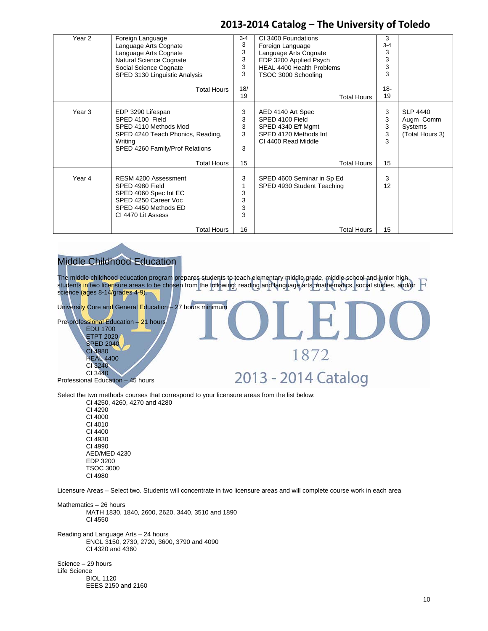| Year <sub>2</sub> | Foreign Language<br>Language Arts Cognate<br>Language Arts Cognate<br>Natural Science Cognate<br>Social Science Cognate<br>SPED 3130 Linguistic Analysis<br><b>Total Hours</b>     | $3 - 4$<br>3<br>3<br>3<br>3<br>3<br>18/<br>19 | CI 3400 Foundations<br>Foreign Language<br>Language Arts Cognate<br>EDP 3200 Applied Psych<br>HEAL 4400 Health Problems<br>TSOC 3000 Schooling<br><b>Total Hours</b> | 3<br>$3 - 4$<br>3<br>3<br>3<br>3<br>$18 -$<br>19 |                                                            |
|-------------------|------------------------------------------------------------------------------------------------------------------------------------------------------------------------------------|-----------------------------------------------|----------------------------------------------------------------------------------------------------------------------------------------------------------------------|--------------------------------------------------|------------------------------------------------------------|
| Year <sub>3</sub> | EDP 3290 Lifespan<br>SPED 4100 Field<br>SPED 4110 Methods Mod<br>SPED 4240 Teach Phonics, Reading,<br>Writing<br>SPED 4260 Family/Prof Relations                                   | 3<br>3<br>3<br>3<br>3                         | AED 4140 Art Spec<br>SPED 4100 Field<br>SPED 4340 Eff Mgmt<br>SPED 4120 Methods Int<br>CI 4400 Read Middle                                                           | 3<br>3<br>3<br>3<br>3                            | <b>SLP 4440</b><br>Augm Comm<br>Systems<br>(Total Hours 3) |
| Year 4            | <b>Total Hours</b><br><b>RESM 4200 Assessment</b><br>SPED 4980 Field<br>SPED 4060 Spec Int EC<br>SPED 4250 Career Voc<br>SPED 4450 Methods ED<br>CI 4470 Lit Assess<br>Total Hours | 15<br>3<br>1<br>3<br>3<br>3<br>3<br>16        | <b>Total Hours</b><br>SPED 4600 Seminar in Sp Ed<br>SPED 4930 Student Teaching<br><b>Total Hours</b>                                                                 | 15<br>3<br>12<br>15                              |                                                            |

### Middle Childhood Education

The middle childhood education program prepares students to teach elementary middle grade, middle school and junior high. H students in two licensure areas to be chosen from the following: reading and language arts, mathematics, social studies, and/or science (ages 8-14/grades 4-9).

University Core and General Education – 27 hours minimum

Pre-professional Education – 21 hours EDU 1700 ETPT 2020

SPED 2040 CI 4980 **HEAL 4400** CI 3240 CI 3440

Professional Education – 45 hours

1872

# 2013 - 2014 Catalog

Select the two methods courses that correspond to your licensure areas from the list below:

 CI 4250, 4260, 4270 and 4280 CI 4290 CI 4000 CI 4010 CI 4400 CI 4930 CI 4990 AED/MED 4230 EDP 3200 TSOC 3000 CI 4980

Licensure Areas – Select two. Students will concentrate in two licensure areas and will complete course work in each area

Mathematics – 26 hours MATH 1830, 1840, 2600, 2620, 3440, 3510 and 1890 CI 4550

Reading and Language Arts – 24 hours ENGL 3150, 2730, 2720, 3600, 3790 and 4090 CI 4320 and 4360

Science – 29 hours Life Science BIOL 1120 EEES 2150 and 2160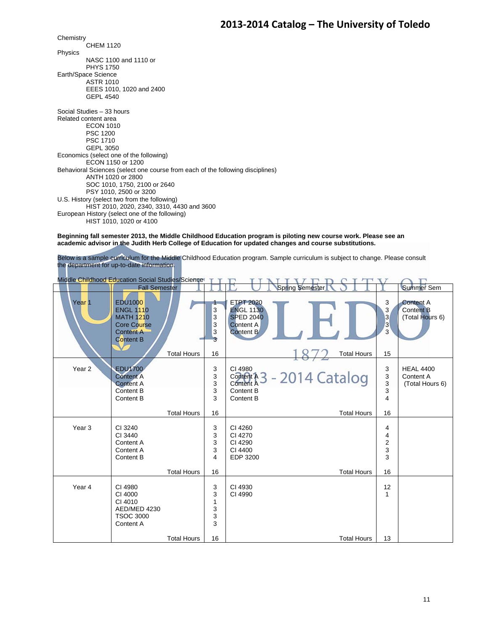**Chemistry**  CHEM 1120 Physics NASC 1100 and 1110 or PHYS 1750 Earth/Space Science ASTR 1010 EEES 1010, 1020 and 2400 GEPL 4540 Social Studies – 33 hours Related content area ECON 1010 PSC 1200 PSC 1710 GEPL 3050 Economics (select one of the following) ECON 1150 or 1200 Behavioral Sciences (select one course from each of the following disciplines) ANTH 1020 or 2800 SOC 1010, 1750, 2100 or 2640 PSY 1010, 2500 or 3200 U.S. History (select two from the following) HIST 2010, 2020, 2340, 3310, 4430 and 3600 European History (select one of the following) HIST 1010, 1020 or 4100

**Beginning fall semester 2013, the Middle Childhood Education program is piloting new course work. Please see an academic advisor in the Judith Herb College of Education for updated changes and course substitutions.** 

Below is a sample curriculum for the Middle Childhood Education program. Sample curriculum is subject to change. Please consult the department for up-to-date information.

| Middle Childhood Education Social Studies/Science |                                                                                                                      |                    |                            |                                                                                                                                                                                            |  |  |  |  |
|---------------------------------------------------|----------------------------------------------------------------------------------------------------------------------|--------------------|----------------------------|--------------------------------------------------------------------------------------------------------------------------------------------------------------------------------------------|--|--|--|--|
|                                                   | <b>Fall Semester</b>                                                                                                 |                    |                            | <b>Spring Semester</b><br><b>Summer Sem</b>                                                                                                                                                |  |  |  |  |
| Year <sub>1</sub>                                 | <b>EDU1000</b><br><b>ENGL 1110</b><br><b>MATH 1210</b><br><b>Core Course</b><br><b>Content A</b><br><b>Content B</b> |                    | 3<br>3<br>3<br>3<br>3      | 3<br><b>ETPT 2020</b><br><b>Content A</b><br><b>ENGL 1130</b><br>3<br><b>Content B</b><br>3<br><b>SPED 2040</b><br>(Total Hours 6)<br>$\overline{3}$<br>Content A<br><b>Content B</b><br>3 |  |  |  |  |
|                                                   |                                                                                                                      | <b>Total Hours</b> | 16                         | <b>Total Hours</b><br>15                                                                                                                                                                   |  |  |  |  |
| Year <sub>2</sub>                                 | <b>EDU1700</b><br><b>Content A</b><br><b>Content A</b><br>Content B<br>Content B                                     |                    | 3<br>3<br>3<br>3<br>3      | 3<br>CI 4980<br><b>HEAL 4400</b><br>Content A 3 - 2014 Catalog<br>3<br>Content A<br>3<br>(Total Hours 6)<br><b>Content A</b><br>3<br>Content B<br>$\overline{\mathbf{4}}$<br>Content B     |  |  |  |  |
|                                                   |                                                                                                                      | <b>Total Hours</b> | 16                         | <b>Total Hours</b><br>16                                                                                                                                                                   |  |  |  |  |
| Year <sub>3</sub>                                 | CI 3240<br>CI 3440<br>Content A<br>Content A<br>Content B                                                            |                    | 3<br>3<br>3<br>3<br>4      | CI 4260<br>4<br>CI 4270<br>4<br>$\overline{\mathbf{c}}$<br>CI 4290<br>3<br>CI 4400<br>3<br>EDP 3200                                                                                        |  |  |  |  |
|                                                   |                                                                                                                      | <b>Total Hours</b> | 16                         | <b>Total Hours</b><br>16                                                                                                                                                                   |  |  |  |  |
| Year 4                                            | CI 4980<br>CI 4000<br>CI 4010<br>AED/MED 4230<br><b>TSOC 3000</b><br>Content A                                       |                    | 3<br>3<br>1<br>3<br>3<br>3 | 12<br>CI 4930<br>1<br>CI 4990                                                                                                                                                              |  |  |  |  |
|                                                   |                                                                                                                      | <b>Total Hours</b> | 16                         | <b>Total Hours</b><br>13                                                                                                                                                                   |  |  |  |  |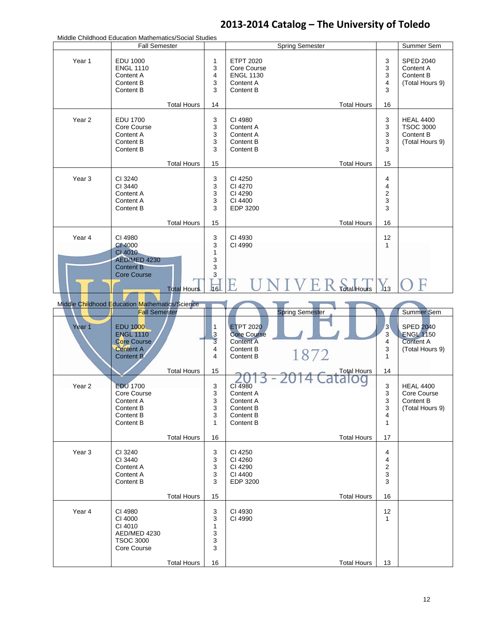| Middle Childhood Education Mathematics/Social Studies |                                         |                    |                |                      |                        |                         |                               |
|-------------------------------------------------------|-----------------------------------------|--------------------|----------------|----------------------|------------------------|-------------------------|-------------------------------|
|                                                       | <b>Fall Semester</b>                    |                    |                |                      | <b>Spring Semester</b> |                         | Summer Sem                    |
| Year 1                                                | <b>EDU 1000</b>                         |                    | 1              | <b>ETPT 2020</b>     |                        | 3                       | <b>SPED 2040</b>              |
|                                                       | <b>ENGL 1110</b>                        |                    | 3              | Core Course          |                        | 3                       | Content A                     |
|                                                       | Content A                               |                    | 4              | <b>ENGL 1130</b>     |                        | 3                       | Content B                     |
|                                                       | Content B                               |                    | 3              | Content A            |                        | $\overline{4}$          | (Total Hours 9)               |
|                                                       | Content B                               |                    | 3              | Content B            |                        | 3                       |                               |
|                                                       |                                         |                    |                |                      |                        |                         |                               |
|                                                       |                                         | <b>Total Hours</b> | 14             |                      | <b>Total Hours</b>     | 16                      |                               |
|                                                       |                                         |                    |                |                      |                        |                         |                               |
| Year <sub>2</sub>                                     | <b>EDU 1700</b>                         |                    | 3              | CI 4980<br>Content A |                        | 3                       | <b>HEAL 4400</b>              |
|                                                       | Core Course                             |                    | 3              | Content A            |                        | 3                       | <b>TSOC 3000</b><br>Content B |
|                                                       | Content A<br>Content B                  |                    | 3<br>3         | Content B            |                        | 3<br>3                  | (Total Hours 9)               |
|                                                       | Content B                               |                    | 3              | Content B            |                        | 3                       |                               |
|                                                       |                                         |                    |                |                      |                        |                         |                               |
|                                                       |                                         | <b>Total Hours</b> | 15             |                      | <b>Total Hours</b>     | 15                      |                               |
| Year <sub>3</sub>                                     | CI 3240                                 |                    | 3              | CI 4250              |                        | 4                       |                               |
|                                                       | CI 3440                                 |                    | 3              | CI 4270              |                        | 4                       |                               |
|                                                       | Content A                               |                    | 3              | CI 4290              |                        | $\overline{\mathbf{c}}$ |                               |
|                                                       | Content A                               |                    | 3              | CI 4400              |                        | 3                       |                               |
|                                                       | Content B                               |                    | 3              | EDP 3200             |                        | 3                       |                               |
|                                                       |                                         |                    |                |                      |                        |                         |                               |
|                                                       |                                         | <b>Total Hours</b> | 15             |                      | <b>Total Hours</b>     | 16                      |                               |
| Year 4                                                | CI 4980                                 |                    | 3              | CI 4930              |                        | 12                      |                               |
|                                                       | CI 4000                                 |                    | 3              | CI 4990              |                        | $\mathbf{1}$            |                               |
|                                                       | CI 4010                                 |                    | 1              |                      |                        |                         |                               |
|                                                       | <b>AED/MED 4230</b><br><b>Content B</b> |                    | 3              |                      |                        |                         |                               |
|                                                       | <b>Core Course</b>                      |                    | 3<br>3         |                      |                        |                         |                               |
|                                                       |                                         |                    |                |                      |                        |                         |                               |
|                                                       |                                         | <b>Total Hours</b> | 16             |                      | <b>Total Hours</b>     | $\blacksquare$ 13       |                               |
| Middle Childhood Education Mathematics/Science        |                                         |                    |                |                      |                        |                         |                               |
|                                                       | <b>Fall Semester</b>                    |                    |                |                      | <b>Spring Semester</b> |                         | <b>Summer Sem</b>             |
|                                                       |                                         |                    |                |                      |                        |                         |                               |
| Year 1                                                | <b>EDU 1000</b>                         |                    | $\mathbf{1}$   | <b>ETPT 2020</b>     |                        | 3                       | <b>SPED 2040</b>              |
|                                                       | <b>ENGL 1110</b>                        |                    | $\mathbf{3}$   | <b>Core Course</b>   |                        | $\mathbf{3}$            | <b>ENGL 1150</b>              |
|                                                       | Core Course                             |                    | $\overline{3}$ | <b>Content A</b>     |                        | 4                       | <b>Content A</b>              |
|                                                       | <b>Content A</b>                        |                    | 4              | Content B            | 1872                   | 3                       | (Total Hours 9)               |
|                                                       | Content B                               |                    | 4              | Content B            |                        | $\mathbf{1}$            |                               |
|                                                       |                                         | <b>Total Hours</b> | 15             |                      | <b>Total Hours</b>     | 14                      |                               |
|                                                       |                                         |                    |                |                      |                        |                         |                               |
| Year <sub>2</sub>                                     | <b>EDU 1700</b>                         |                    | 3              | CI 4980              |                        | 3                       | <b>HEAL 4400</b>              |
|                                                       | Core Course                             |                    | 3              | Content A            |                        | 3                       | Core Course                   |
|                                                       | Content A                               |                    | 3              | Content A            |                        | 3                       | Content B                     |
|                                                       | Content B                               |                    | 3              | Content B            |                        | 3                       | (Total Hours 9)               |
|                                                       | Content B                               |                    | 3              | Content B            |                        | 4                       |                               |
|                                                       | Content B                               |                    | $\mathbf{1}$   | Content B            |                        | $\mathbf{1}$            |                               |
|                                                       |                                         | <b>Total Hours</b> | 16             |                      | <b>Total Hours</b>     | 17                      |                               |
| Year <sub>3</sub>                                     | CI 3240                                 |                    | 3              | CI 4250              |                        | 4                       |                               |
|                                                       | CI 3440                                 |                    | 3              | CI 4260              |                        | 4                       |                               |
|                                                       | Content A                               |                    | 3              | CI 4290              |                        | $\boldsymbol{2}$        |                               |
|                                                       | Content A                               |                    | 3              | CI 4400              |                        | 3                       |                               |
|                                                       | Content B                               |                    | 3              | EDP 3200             |                        | 3                       |                               |
|                                                       |                                         |                    |                |                      |                        |                         |                               |
|                                                       |                                         | <b>Total Hours</b> | 15             |                      | <b>Total Hours</b>     | 16                      |                               |
| Year 4                                                | CI 4980                                 |                    | 3              | CI 4930              |                        | 12                      |                               |
|                                                       | CI 4000                                 |                    | 3              | CI 4990              |                        | $\mathbf{1}$            |                               |
|                                                       | CI 4010                                 |                    | 1              |                      |                        |                         |                               |
|                                                       | AED/MED 4230                            |                    | 3              |                      |                        |                         |                               |
|                                                       | <b>TSOC 3000</b>                        |                    | 3              |                      |                        |                         |                               |
|                                                       | Core Course                             |                    | 3              |                      |                        |                         |                               |
|                                                       |                                         | <b>Total Hours</b> | 16             |                      | <b>Total Hours</b>     | 13                      |                               |
|                                                       |                                         |                    |                |                      |                        |                         |                               |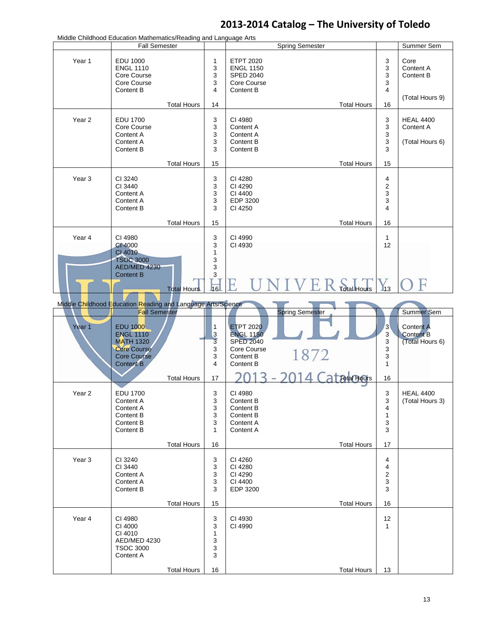|                                                              | Middle Childhood Education Mathematics/Reading and Language Arts<br><b>Fall Semester</b>                                                 |                    |                                                                     |                                                                                                                                                           |                                             |                                                                              |  |
|--------------------------------------------------------------|------------------------------------------------------------------------------------------------------------------------------------------|--------------------|---------------------------------------------------------------------|-----------------------------------------------------------------------------------------------------------------------------------------------------------|---------------------------------------------|------------------------------------------------------------------------------|--|
|                                                              |                                                                                                                                          |                    |                                                                     | <b>Spring Semester</b>                                                                                                                                    |                                             | Summer Sem                                                                   |  |
| Year 1                                                       | <b>EDU 1000</b><br><b>ENGL 1110</b><br>Core Course<br>Core Course<br>Content B                                                           |                    | 1<br>3<br>3<br>3<br>$\overline{4}$                                  | <b>ETPT 2020</b><br><b>ENGL 1150</b><br><b>SPED 2040</b><br>Core Course<br>Content B                                                                      | 3<br>3<br>3<br>3<br>$\overline{4}$          | Core<br>Content A<br>Content B                                               |  |
|                                                              |                                                                                                                                          | <b>Total Hours</b> | 14                                                                  | <b>Total Hours</b>                                                                                                                                        | 16                                          | (Total Hours 9)                                                              |  |
| Year <sub>2</sub>                                            | <b>EDU 1700</b><br>Core Course<br>Content A<br>Content A<br>Content B                                                                    |                    | 3<br>3<br>3<br>3<br>3                                               | CI 4980<br>Content A<br>Content A<br>Content B<br>Content B                                                                                               | 3<br>3<br>3<br>3<br>3                       | <b>HEAL 4400</b><br>Content A<br>(Total Hours 6)                             |  |
|                                                              |                                                                                                                                          | <b>Total Hours</b> | 15                                                                  | <b>Total Hours</b>                                                                                                                                        | 15                                          |                                                                              |  |
| Year <sub>3</sub>                                            | CI 3240<br>CI 3440<br>Content A<br>Content A<br>Content B                                                                                |                    | 3<br>3<br>3<br>3<br>3                                               | CI 4280<br>CI 4290<br>CI 4400<br>EDP 3200<br>CI 4250                                                                                                      | 4<br>$\overline{\mathbf{c}}$<br>3<br>3<br>4 |                                                                              |  |
|                                                              |                                                                                                                                          | <b>Total Hours</b> | 15                                                                  | <b>Total Hours</b>                                                                                                                                        | 16                                          |                                                                              |  |
| Year 4                                                       | CI 4980<br>CI 4000<br>CI 4010<br><b>TSOC 3000</b><br>AED/MED 4230                                                                        |                    | 3<br>3<br>$\mathbf{1}$<br>3<br>3                                    | CI 4990<br>CI 4930                                                                                                                                        | $\mathbf{1}$<br>12                          |                                                                              |  |
|                                                              | <b>Content B</b>                                                                                                                         | <b>Total Hours</b> | 3<br>16                                                             | E<br><b>Total Hours</b>                                                                                                                                   | $\mathbf{I}_{13}$                           |                                                                              |  |
| Middle Childhood Education Reading and Language Arts/Science |                                                                                                                                          |                    |                                                                     |                                                                                                                                                           |                                             |                                                                              |  |
| Year <sub>1</sub>                                            | <b>Fall Semester</b><br><b>EDU 1000</b><br><b>ENGL 1110</b><br><b>MATH 1320</b><br><b>Core Course</b><br>Core Course<br><b>Content B</b> | <b>Total Hours</b> | $\mathbf{1}$<br>$\mathbf{3}$<br>$\overline{3}$<br>3<br>3<br>4<br>17 | <b>Spring Semester</b><br><b>ETPT 2020</b><br><b>ENGL 1150</b><br><b>SPED 2040</b><br>Core Course<br>1872<br>Content B<br>Content B<br><b>Total Hours</b> | 3<br>3<br>3<br>3<br>3<br>$\mathbf{1}$<br>16 | <b>Summer Sem</b><br><b>Content A</b><br><b>Content B</b><br>(Total Hours 6) |  |
| Year 2                                                       | EDU 1700<br>Content A<br>Content A<br>Content B<br>Content B<br>Content B                                                                |                    | 3<br>3<br>3<br>3<br>3<br>1                                          | CI 4980<br>Content B<br>Content B<br>Content B<br>Content A<br>Content A                                                                                  | З<br>3<br>4<br>$\mathbf{1}$<br>3<br>3       | <b>HEAL 4400</b><br>(Total Hours 3)                                          |  |
|                                                              |                                                                                                                                          | <b>Total Hours</b> | 16                                                                  | <b>Total Hours</b>                                                                                                                                        | 17                                          |                                                                              |  |
| Year <sub>3</sub>                                            | CI 3240<br>CI 3440<br>Content A<br>Content A<br>Content B                                                                                |                    | 3<br>3<br>3<br>3<br>3                                               | CI 4260<br>CI 4280<br>CI 4290<br>CI 4400<br>EDP 3200                                                                                                      | 4<br>4<br>2<br>3<br>3                       |                                                                              |  |
|                                                              |                                                                                                                                          | <b>Total Hours</b> | 15                                                                  | <b>Total Hours</b>                                                                                                                                        | 16                                          |                                                                              |  |
| Year 4                                                       | CI 4980<br>CI 4000<br>CI 4010<br>AED/MED 4230<br><b>TSOC 3000</b><br>Content A                                                           |                    | 3<br>3<br>1<br>3<br>3<br>3                                          | CI 4930<br>CI 4990                                                                                                                                        | 12<br>$\mathbf{1}$                          |                                                                              |  |
|                                                              |                                                                                                                                          | <b>Total Hours</b> | 16                                                                  | <b>Total Hours</b>                                                                                                                                        | 13                                          |                                                                              |  |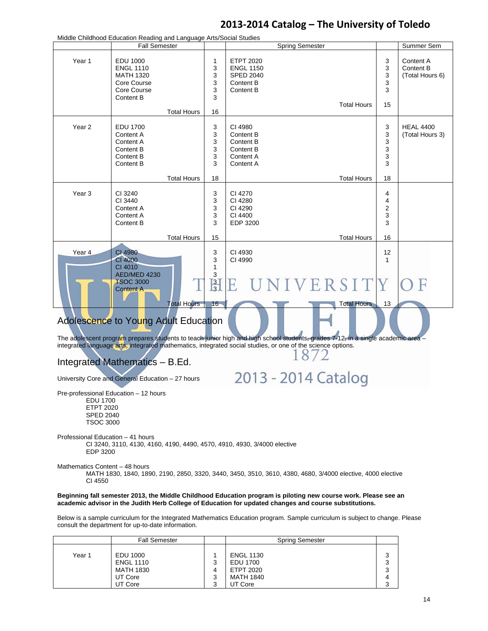|                                                                                                                                                                                                                                                                                         | Middle Childhood Education Reading and Language Arts/Social Studies                                                |                                                    |                                                                                                                                                                                                                           |                                          |                                           |  |  |  |
|-----------------------------------------------------------------------------------------------------------------------------------------------------------------------------------------------------------------------------------------------------------------------------------------|--------------------------------------------------------------------------------------------------------------------|----------------------------------------------------|---------------------------------------------------------------------------------------------------------------------------------------------------------------------------------------------------------------------------|------------------------------------------|-------------------------------------------|--|--|--|
|                                                                                                                                                                                                                                                                                         | <b>Fall Semester</b>                                                                                               |                                                    | <b>Spring Semester</b>                                                                                                                                                                                                    |                                          | Summer Sem                                |  |  |  |
| Year 1                                                                                                                                                                                                                                                                                  | <b>EDU 1000</b><br><b>ENGL 1110</b><br><b>MATH 1320</b><br>Core Course<br>Core Course<br>Content B                 | 1<br>3<br>3<br>3<br>3<br>3                         | <b>ETPT 2020</b><br><b>ENGL 1150</b><br><b>SPED 2040</b><br>Content B<br>Content B<br><b>Total Hours</b>                                                                                                                  | 3<br>3<br>3<br>3<br>3<br>15              | Content A<br>Content B<br>(Total Hours 6) |  |  |  |
|                                                                                                                                                                                                                                                                                         | <b>Total Hours</b>                                                                                                 | 16                                                 |                                                                                                                                                                                                                           |                                          |                                           |  |  |  |
| Year <sub>2</sub>                                                                                                                                                                                                                                                                       | <b>EDU 1700</b><br>Content A<br>Content A<br>Content B<br>Content B<br><b>Content B</b><br><b>Total Hours</b>      | 3<br>3<br>3<br>3<br>3<br>3<br>18                   | CI 4980<br>Content B<br>Content B<br>Content B<br>Content A<br>Content A<br><b>Total Hours</b>                                                                                                                            | 3<br>3<br>3<br>3<br>3<br>3<br>18         | <b>HEAL 4400</b><br>(Total Hours 3)       |  |  |  |
| Year <sub>3</sub>                                                                                                                                                                                                                                                                       | CI 3240<br>CI 3440<br>Content A<br>Content A<br>Content B<br><b>Total Hours</b>                                    | 3<br>3<br>3<br>3<br>3<br>15                        | CI 4270<br>CI 4280<br>CI 4290<br>CI 4400<br><b>EDP 3200</b><br><b>Total Hours</b>                                                                                                                                         | 4<br>4<br>$\overline{2}$<br>3<br>3<br>16 |                                           |  |  |  |
|                                                                                                                                                                                                                                                                                         |                                                                                                                    |                                                    |                                                                                                                                                                                                                           |                                          |                                           |  |  |  |
| Year 4                                                                                                                                                                                                                                                                                  | CI 4980<br><b>CI 4000</b><br>CI 4010<br>AED/MED 4230<br><b>TSOC 3000</b><br><b>Content A</b><br><b>Total Hours</b> | 3<br>3<br>$\mathbf{1}$<br>3<br>$\frac{3}{3}$<br>16 | CI 4930<br>CI 4990<br>UNIVERSIT<br><b>Total Hours</b>                                                                                                                                                                     | 12<br>1<br>13                            |                                           |  |  |  |
| Adolescence to Young Adult Education<br>The adolescent program prepares students to teach junior high and high school students, grades 7-12, in a single academic area -<br>integrated language arts, integrated mathematics, integrated social studies, or one of the science options. |                                                                                                                    |                                                    |                                                                                                                                                                                                                           |                                          |                                           |  |  |  |
|                                                                                                                                                                                                                                                                                         | Integrated Mathematics - B.Ed.                                                                                     |                                                    | 18/2                                                                                                                                                                                                                      |                                          |                                           |  |  |  |
|                                                                                                                                                                                                                                                                                         | University Core and General Education - 27 hours                                                                   |                                                    | 2013 - 2014 Catalog                                                                                                                                                                                                       |                                          |                                           |  |  |  |
| Pre-professional Education - 12 hours<br>EDU 1700<br><b>ETPT 2020</b><br><b>SPED 2040</b><br><b>TSOC 3000</b>                                                                                                                                                                           |                                                                                                                    |                                                    |                                                                                                                                                                                                                           |                                          |                                           |  |  |  |
| Professional Education - 41 hours<br>CI 3240, 3110, 4130, 4160, 4190, 4490, 4570, 4910, 4930, 3/4000 elective<br>EDP 3200                                                                                                                                                               |                                                                                                                    |                                                    |                                                                                                                                                                                                                           |                                          |                                           |  |  |  |
| Mathematics Content - 48 hours<br>CI 4550                                                                                                                                                                                                                                               |                                                                                                                    |                                                    | MATH 1830, 1840, 1890, 2190, 2850, 3320, 3440, 3450, 3510, 3610, 4380, 4680, 3/4000 elective, 4000 elective                                                                                                               |                                          |                                           |  |  |  |
|                                                                                                                                                                                                                                                                                         |                                                                                                                    |                                                    | Beginning fall semester 2013, the Middle Childhood Education program is piloting new course work. Please see an<br>academic advisor in the Judith Herb College of Education for updated changes and course substitutions. |                                          |                                           |  |  |  |
|                                                                                                                                                                                                                                                                                         |                                                                                                                    |                                                    |                                                                                                                                                                                                                           |                                          |                                           |  |  |  |

Below is a sample curriculum for the Integrated Mathematics Education program. Sample curriculum is subject to change. Please consult the department for up-to-date information.

|        | <b>Fall Semester</b>                                 | <b>Spring Semester</b>                                               |             |
|--------|------------------------------------------------------|----------------------------------------------------------------------|-------------|
| Year 1 | EDU 1000<br><b>ENGL 1110</b><br>MATH 1830<br>UT Core | <b>ENGL 1130</b><br>EDU 1700<br><b>ETPT 2020</b><br><b>MATH 1840</b> | 3<br>ຈ<br>◠ |
|        | UT Core                                              | UT Core                                                              |             |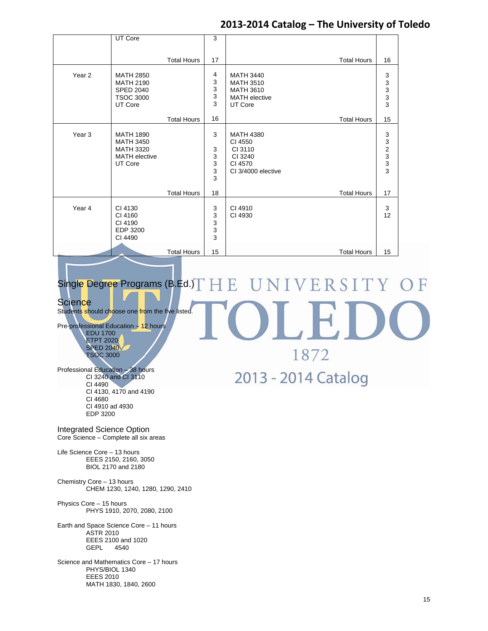1872

2013 - 2014 Catalog

|                   | UT Core                                                                                     |                    | 3                          |                                                                                             |                                                        |
|-------------------|---------------------------------------------------------------------------------------------|--------------------|----------------------------|---------------------------------------------------------------------------------------------|--------------------------------------------------------|
|                   |                                                                                             |                    |                            |                                                                                             |                                                        |
|                   |                                                                                             | <b>Total Hours</b> | 17                         | <b>Total Hours</b>                                                                          | 16                                                     |
| Year <sub>2</sub> | <b>MATH 2850</b><br><b>MATH 2190</b><br><b>SPED 2040</b><br><b>TSOC 3000</b><br>UT Core     |                    | 4<br>3<br>3<br>3<br>3      | <b>MATH 3440</b><br><b>MATH 3510</b><br><b>MATH 3610</b><br><b>MATH</b> elective<br>UT Core | $\begin{array}{c} 3 \\ 3 \\ 3 \\ 3 \end{array}$        |
|                   |                                                                                             | <b>Total Hours</b> | 16                         | <b>Total Hours</b>                                                                          | 15                                                     |
| Year 3            | <b>MATH 1890</b><br><b>MATH 3450</b><br><b>MATH 3320</b><br><b>MATH</b> elective<br>UT Core |                    | 3<br>3<br>3<br>3<br>3<br>3 | <b>MATH 4380</b><br>CI 4550<br>CI 3110<br>CI 3240<br>CI 4570<br>CI 3/4000 elective          | $\begin{array}{c}\n 3 \\  2 \\  3 \\  3\n \end{array}$ |
|                   |                                                                                             | <b>Total Hours</b> | 18                         | <b>Total Hours</b>                                                                          | 17                                                     |
| Year 4            | CI 4130<br>CI 4160<br>CI 4190<br>EDP 3200<br>CI 4490                                        |                    | 3<br>3<br>3<br>3<br>3      | CI 4910<br>CI 4930                                                                          | 3<br>12                                                |
|                   |                                                                                             | <b>Total Hours</b> | 15                         | <b>Total Hours</b>                                                                          | 15                                                     |

#### NIVERSITY Single Degree Programs (B.Ed.)  $HE$  $\mathbb F$  $\Box$

### **Science**

Students should choose one from the five listed.

Pre-professional Education – 12 hours EDU 1700 ETPT 2020 SPED 2040 TSOC 3000

Professional Education – 38 hours CI 3240 and CI 3110 CI 4490 CI 4130, 4170 and 4190 CI 4680 CI 4910 ad 4930 EDP 3200

Integrated Science Option Core Science – Complete all six areas

Life Science Core – 13 hours EEES 2150, 2160, 3050 BIOL 2170 and 2180

Chemistry Core – 13 hours CHEM 1230, 1240, 1280, 1290, 2410

Physics Core – 15 hours PHYS 1910, 2070, 2080, 2100

Earth and Space Science Core – 11 hours ASTR 2010 EEES 2100 and 1020<br>GEPL 4540 **GEPL** 

Science and Mathematics Core – 17 hours PHYS/BIOL 1340 EEES 2010 MATH 1830, 1840, 2600

15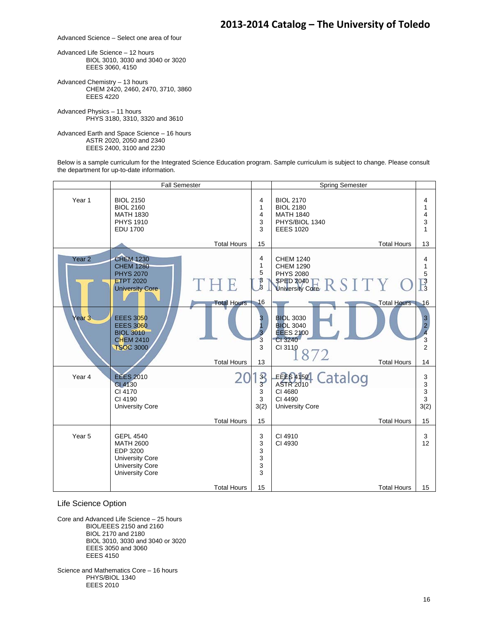Advanced Science – Select one area of four

Advanced Life Science – 12 hours BIOL 3010, 3030 and 3040 or 3020 EEES 3060, 4150

Advanced Chemistry – 13 hours CHEM 2420, 2460, 2470, 3710, 3860 EEES 4220

Advanced Physics – 11 hours PHYS 3180, 3310, 3320 and 3610

Advanced Earth and Space Science – 16 hours ASTR 2020, 2050 and 2340 EEES 2400, 3100 and 2230

Below is a sample curriculum for the Integrated Science Education program. Sample curriculum is subject to change. Please consult the department for up-to-date information.

|                   | Fall Semester                                                                                                                  |                    |                                          | <b>Spring Semester</b>                                                                         |                                                                   |
|-------------------|--------------------------------------------------------------------------------------------------------------------------------|--------------------|------------------------------------------|------------------------------------------------------------------------------------------------|-------------------------------------------------------------------|
| Year <sub>1</sub> | <b>BIOL 2150</b><br><b>BIOL 2160</b><br><b>MATH 1830</b><br><b>PHYS 1910</b><br><b>EDU 1700</b>                                |                    | 4<br>$\mathbf{1}$<br>4<br>3<br>3         | <b>BIOL 2170</b><br><b>BIOL 2180</b><br><b>MATH 1840</b><br>PHYS/BIOL 1340<br><b>EEES 1020</b> | 4<br>1<br>4<br>3<br>1                                             |
|                   |                                                                                                                                | <b>Total Hours</b> | 15                                       | <b>Total Hours</b>                                                                             | 13                                                                |
| Year <sub>2</sub> | <b>CHEM 1230</b><br><b>CHEM 1280</b><br><b>PHYS 2070</b><br><b>ETPT 2020</b><br><b>University Core</b>                         | THE                | 4<br>$\mathbf{1}$<br>5<br>$\int_{3}^{3}$ | <b>CHEM 1240</b><br><b>CHEM 1290</b><br><b>PHYS 2080</b><br>SPED 2040 E R S I T Y C            | 4<br>1<br>5<br>$\frac{3}{3}$                                      |
|                   |                                                                                                                                | <b>Total Hours</b> | 16                                       | <b>Total Hours</b>                                                                             | 16                                                                |
| Year <sub>3</sub> | <b>EEES 3050</b><br><b>EEES 3060</b><br><b>BIOL 3010</b><br><b>CHEM 2410</b><br><b>TSOC 3000</b>                               |                    | 3<br>3<br>3                              | <b>BIOL 3030</b><br><b>BIOL 3040</b><br><b>EEES 2100</b><br>CI 3240<br>CI 3110<br>872          | $\begin{array}{c} 3 \\ 2 \\ 4 \end{array}$<br>3<br>$\overline{2}$ |
|                   |                                                                                                                                | <b>Total Hours</b> | 13                                       | <b>Total Hours</b>                                                                             | 14                                                                |
| Year 4            | <b>EEES 2010</b><br>CI 4130<br>CI 4170<br>CI 4190<br><b>University Core</b>                                                    |                    | $\frac{3}{3}$<br>3<br>3<br>3(2)          | EEE 64150 Catalog<br><b>ASTR 2010</b><br>CI 4680<br>CI 4490<br><b>University Core</b>          | 3<br>3<br>3<br>3<br>3(2)                                          |
|                   |                                                                                                                                | <b>Total Hours</b> | 15                                       | <b>Total Hours</b>                                                                             | 15                                                                |
| Year <sub>5</sub> | <b>GEPL 4540</b><br><b>MATH 2600</b><br>EDP 3200<br><b>University Core</b><br><b>University Core</b><br><b>University Core</b> |                    | 3<br>3<br>3<br>3<br>$\mathsf 3$<br>3     | CI 4910<br>CI 4930                                                                             | 3<br>12                                                           |
|                   |                                                                                                                                | <b>Total Hours</b> | 15                                       | <b>Total Hours</b>                                                                             | 15                                                                |

Life Science Option

Core and Advanced Life Science – 25 hours BIOL/EEES 2150 and 2160 BIOL 2170 and 2180 BIOL 3010, 3030 and 3040 or 3020 EEES 3050 and 3060 EEES 4150

Science and Mathematics Core – 16 hours PHYS/BIOL 1340 EEES 2010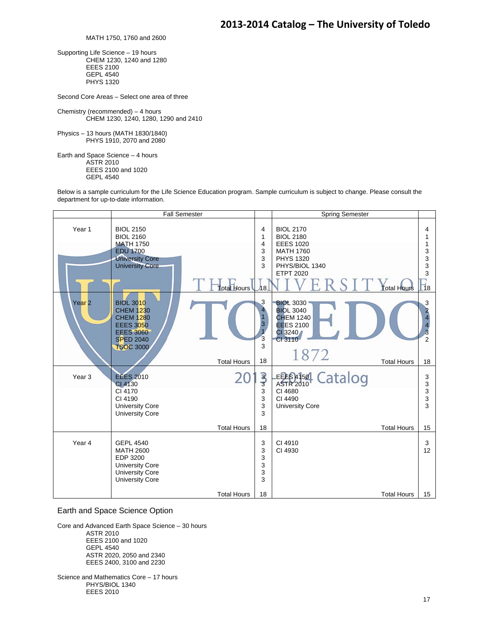MATH 1750, 1760 and 2600

Supporting Life Science – 19 hours CHEM 1230, 1240 and 1280 EEES 2100 GEPL 4540 PHYS 1320

Second Core Areas – Select one area of three

Chemistry (recommended) – 4 hours CHEM 1230, 1240, 1280, 1290 and 2410

Physics – 13 hours (MATH 1830/1840) PHYS 1910, 2070 and 2080

Earth and Space Science – 4 hours ASTR 2010 EEES 2100 and 1020 GEPL 4540

Below is a sample curriculum for the Life Science Education program. Sample curriculum is subject to change. Please consult the department for up-to-date information.

|                   | <b>Fall Semester</b>                                                                                                                     |                                          |                                        | Spring Semester                                                                                                                                              |                                                                             |
|-------------------|------------------------------------------------------------------------------------------------------------------------------------------|------------------------------------------|----------------------------------------|--------------------------------------------------------------------------------------------------------------------------------------------------------------|-----------------------------------------------------------------------------|
| Year <sub>1</sub> | <b>BIOL 2150</b><br><b>BIOL 2160</b><br><b>MATH 1750</b><br><b>EDU 1700</b><br><b>University Core</b><br><b>University Core</b>          | Total Hours                              | 4<br>1<br>4<br>3<br>3<br>3<br>h8.      | <b>BIOL 2170</b><br><b>BIOL 2180</b><br><b>EEES 1020</b><br><b>MATH 1760</b><br><b>PHYS 1320</b><br>PHYS/BIOL 1340<br><b>ETPT 2020</b><br><b>Total Hours</b> | 4<br>1<br>3<br>3<br>3<br>3<br>$\Box$ 18                                     |
| Year <sub>2</sub> | <b>BIOL 3010</b><br><b>CHEM 1230</b><br><b>CHEM 1280</b><br><b>EEES 3050</b><br><b>EEES 3060</b><br><b>SPED 2040</b><br><b>TSOC 3000</b> | <b>Total Hours</b>                       | 3<br>4<br>1<br>3<br>3<br>3<br>18       | <b>BIOL 3030</b><br><b>BIOL 3040</b><br><b>CHEM 1240</b><br><b>EEES 2100</b><br>CI 3240<br>CI 3110<br>1872<br><b>Total Hours</b>                             | 3<br>$\overline{\mathbf{2}}$<br>$\overline{4}$<br>3<br>$\overline{2}$<br>18 |
| Year <sub>3</sub> | <b>EEES 2010</b><br>CI 4130<br>CI 4170<br>CI 4190<br><b>University Core</b><br><b>University Core</b>                                    |                                          | $\overline{3}$<br>3<br>3<br>3<br>3     | EEES4150 Catalog<br><b>ASTR 2010</b><br>CI 4680<br>CI 4490<br><b>University Core</b>                                                                         | 3<br>3<br>3<br>3<br>3                                                       |
| Year 4            | <b>GEPL 4540</b><br><b>MATH 2600</b><br>EDP 3200<br><b>University Core</b><br><b>University Core</b><br><b>University Core</b>           | <b>Total Hours</b><br><b>Total Hours</b> | 18<br>3<br>3<br>3<br>3<br>3<br>3<br>18 | <b>Total Hours</b><br>CI 4910<br>CI 4930<br><b>Total Hours</b>                                                                                               | 15<br>3<br>12<br>15                                                         |

#### Earth and Space Science Option

Core and Advanced Earth Space Science – 30 hours ASTR 2010 EEES 2100 and 1020 GEPL 4540 ASTR 2020, 2050 and 2340 EEES 2400, 3100 and 2230

Science and Mathematics Core – 17 hours PHYS/BIOL 1340 EEES 2010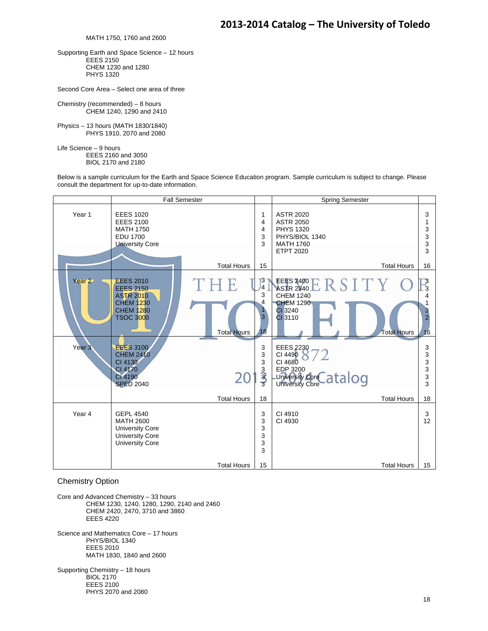MATH 1750, 1760 and 2600

Supporting Earth and Space Science – 12 hours EEES 2150 CHEM 1230 and 1280 PHYS 1320

Second Core Area – Select one area of three

Chemistry (recommended) – 8 hours CHEM 1240, 1290 and 2410

Physics – 13 hours (MATH 1830/1840) PHYS 1910, 2070 and 2080

Life Science – 9 hours EEES 2160 and 3050 BIOL 2170 and 2180

Below is a sample curriculum for the Earth and Space Science Education program. Sample curriculum is subject to change. Please consult the department for up-to-date information.

|                                        |                                                                                                                                                                                    | <b>Fall Semester</b>      |                                                               | <b>Spring Semester</b>                                                                                                                                                 |                                                         |
|----------------------------------------|------------------------------------------------------------------------------------------------------------------------------------------------------------------------------------|---------------------------|---------------------------------------------------------------|------------------------------------------------------------------------------------------------------------------------------------------------------------------------|---------------------------------------------------------|
| Year <sub>1</sub>                      | <b>EEES 1020</b><br><b>EEES 2100</b><br><b>MATH 1750</b><br><b>EDU 1700</b><br><b>University Core</b>                                                                              |                           | 1<br>4<br>4<br>3<br>3                                         | <b>ASTR 2020</b><br><b>ASTR 2050</b><br><b>PHYS 1320</b><br>PHYS/BIOL 1340<br><b>MATH 1760</b><br><b>ETPT 2020</b>                                                     | 3<br>1<br>3<br>3<br>3<br>3                              |
|                                        |                                                                                                                                                                                    | <b>Total Hours</b>        | 15                                                            | <b>Total Hours</b>                                                                                                                                                     | 16                                                      |
| Year <sub>2</sub><br>Year <sub>3</sub> | <b>EEES 2010</b><br><b>EEES 2150</b><br><b>ASTR 2010</b><br><b>CHEM 1230</b><br><b>CHEM 1280</b><br><b>TSOC 3000</b><br><b>EEES 3100</b><br><b>CHEM 2410</b><br>CI 4130<br>CI 4170 | THE<br><b>Total Hours</b> | 3<br>$\overline{4}$<br>3<br>4<br>1.<br>3<br>18<br>3<br>3<br>3 | EEES 2400 E R S I T Y<br><b>CHEM 1240</b><br><b>CHEM 1290</b><br>CI 3240<br>CI 3110<br><b>Total Hours</b><br><b>EEES 2230</b><br>CI 4490<br>CI 4680<br><b>EDP 3200</b> | Β<br>3<br>4<br>$\overline{2}$<br>16<br>3<br>3<br>3<br>3 |
|                                        | CI 4190<br><b>SPED 2040</b>                                                                                                                                                        |                           | سلهانه                                                        | University Core atalog                                                                                                                                                 | 3<br>3                                                  |
|                                        |                                                                                                                                                                                    | <b>Total Hours</b>        | 18                                                            | <b>Total Hours</b>                                                                                                                                                     | 18                                                      |
| Year 4                                 | <b>GEPL 4540</b><br><b>MATH 2600</b><br><b>University Core</b><br><b>University Core</b><br><b>University Core</b>                                                                 |                           | 3<br>3<br>3<br>3<br>3<br>3                                    | CI 4910<br>CI 4930                                                                                                                                                     | 3<br>12 <sup>°</sup>                                    |
|                                        |                                                                                                                                                                                    | <b>Total Hours</b>        | 15                                                            | <b>Total Hours</b>                                                                                                                                                     | 15                                                      |

Chemistry Option

Core and Advanced Chemistry – 33 hours CHEM 1230, 1240, 1280, 1290, 2140 and 2460 CHEM 2420, 2470, 3710 and 3860 EEES 4220 Science and Mathematics Core – 17 hours PHYS/BIOL 1340 EEES 2010 MATH 1830, 1840 and 2600

Supporting Chemistry – 18 hours **BIOL 2170**  EEES 2100 PHYS 2070 and 2080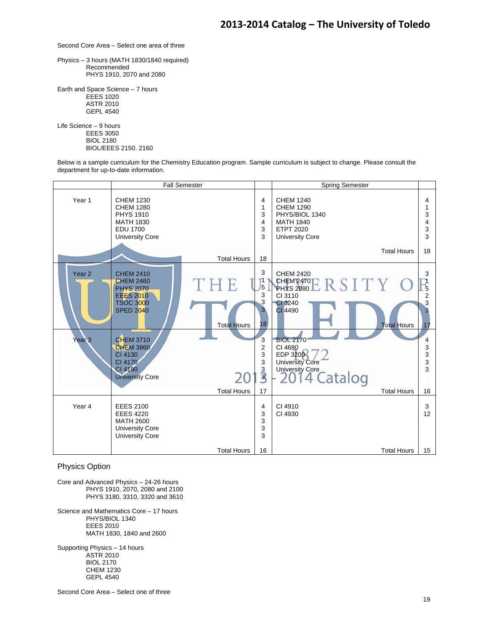Second Core Area – Select one area of three

Physics – 3 hours (MATH 1830/1840 required) Recommended PHYS 1910, 2070 and 2080

Earth and Space Science – 7 hours EEES 1020 ASTR 2010 GEPL 4540

Life Science – 9 hours EEES 3050 BIOL 2180 BIOL/EEES 2150. 2160

Below is a sample curriculum for the Chemistry Education program. Sample curriculum is subject to change. Please consult the department for up-to-date information.



#### Physics Option

Core and Advanced Physics – 24-26 hours PHYS 1910, 2070, 2080 and 2100 PHYS 3180, 3310, 3320 and 3610

Science and Mathematics Core – 17 hours PHYS/BIOL 1340 EEES 2010 MATH 1830, 1840 and 2600

Supporting Physics – 14 hours ASTR 2010 BIOL 2170 CHEM 1230 GEPL 4540

Second Core Area – Select one of three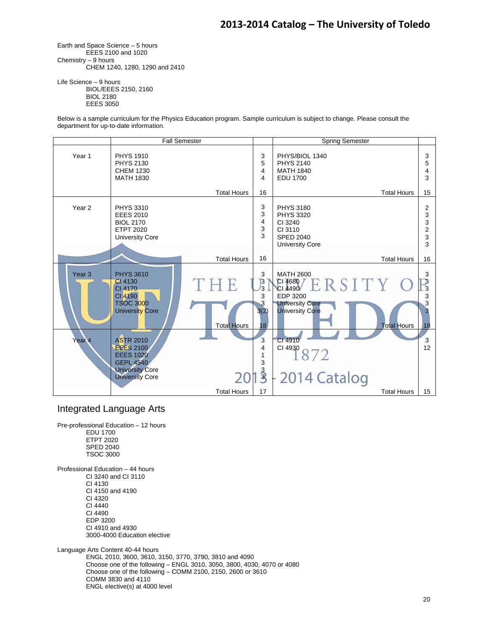Earth and Space Science – 5 hours EEES 2100 and 1020 Chemistry – 9 hours CHEM 1240, 1280, 1290 and 2410

Life Science – 9 hours BIOL/EEES 2150, 2160 BIOL 2180 EEES 3050

Below is a sample curriculum for the Physics Education program. Sample curriculum is subject to change. Please consult the department for up-to-date information.



#### Integrated Language Arts

Pre-professional Education – 12 hours EDU 1700 ETPT 2020 SPED 2040 TSOC 3000

Professional Education – 44 hours CI 3240 and CI 3110 CI 4130 CI 4150 and 4190 CI 4320 CI 4440 CI 4490 EDP 3200 CI 4910 and 4930 3000-4000 Education elective

Language Arts Content 40-44 hours ENGL 2010, 3600, 3610, 3150, 3770, 3790, 3810 and 4090 Choose one of the following – ENGL 3010, 3050, 3800, 4030, 4070 or 4080 Choose one of the following – COMM 2100, 2150, 2600 or 3610 COMM 3830 and 4110 ENGL elective(s) at 4000 level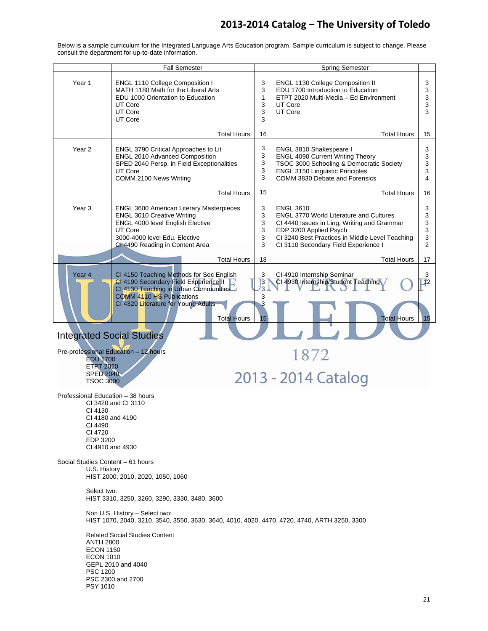Fall Semester **Spring Semester** Spring Semester Year 1 ENGL 1110 College Composition I 3 ENGL 1130 College Composition II 3 MATH 1180 Math for the Liberal Arts 3 EDU 1700 Introduction to Education 3 EDU 1000 Orientation to Education ETPT 2020 Multi-Media – Ed Environment 3 1 UT Core 3 UT Core 3 UT Core UT Core 3 3 UT Core 3 Total Hours 16 Total Hours 15 3 Year 2 | ENGL 3790 Critical Approaches to Lit ENGL 3810 Shakespeare I 3 3 ENGL 2010 Advanced Composition ENGL 4090 Current Writing Theory 3 3 SPED 2040 Persp. in Field Exceptionalities TSOC 3000 Schooling & Democratic Society 3 UT Core 3 ENGL 3150 Linguistic Principles 3 COMM 2100 News Writing 3 COMM 3830 Debate and Forensics 4 15 Total Hours Total Hours 16 Year 3 | ENGL 3600 American Literary Masterpieces 3 ENGL 3610 3 ENGL 3010 Creative Writing 3 ENGL 3770 World Literature and Cultures 3 ENGL 4000 level English Elective 3 CI 4440 Issues in Ling, Writing and Grammar 3 EDP 3200 Applied Psych UT Core 3 3 3000-4000 level Edu. Elective 3 CI 3240 Best Practices in Middle Level Teaching 3 CI 4490 Reading in Content Area 3 CI 3110 Secondary Field Experience I 2 Total Hours 18 17 Total Hours 3 Year 4 CI 4150 Teaching Methods for Sec English CI 4910 Internship Seminar 3 3 CI 4190 Secondary Field Experience II CI 4930 Internship/Student Teaching  $\mathbf{I}^2$  $\overline{3}$ CI 4130 Teaching in Urban Communities 3 COMM 4110 HS Publications CI 4320 Literature for Young Adults 3 Total Hours 15 Total Hours 15 Integrated Social Studies Pre-professional Education – 12 hours 1872 EDU 1700 ETPT 2020 2013 - 2014 Catalog SPED 2040 TSOC 3000 Professional Education – 38 hours CI 3420 and CI 3110 CI 4130 CI 4180 and 4190 CI 4490 CI 4720 EDP 3200 CI 4910 and 4930 Social Studies Content – 61 hours U.S. History HIST 2000, 2010, 2020, 1050, 1060 Select two: HIST 3310, 3250, 3260, 3290, 3330, 3480, 3600 Non U.S. History – Select two: HIST 1070, 2040, 3210, 3540, 3550, 3630, 3640, 4010, 4020, 4470, 4720, 4740, ARTH 3250, 3300 Related Social Studies Content ANTH 2800 ECON 1150 ECON 1010 GEPL 2010 and 4040 PSC 1200 PSC 2300 and 2700 PSY 1010

Below is a sample curriculum for the Integrated Language Arts Education program. Sample curriculum is subject to change. Please consult the department for up-to-date information.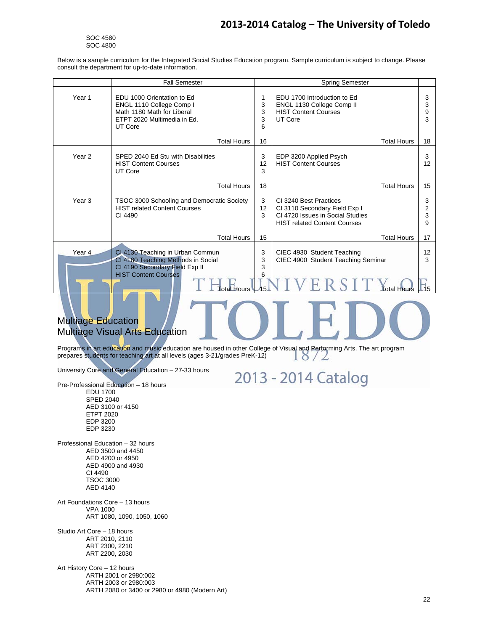SOC 4580 SOC 4800

Below is a sample curriculum for the Integrated Social Studies Education program. Sample curriculum is subject to change. Please consult the department for up-to-date information.

|                   | <b>Fall Semester</b>                                                                                                                    |                  | <b>Spring Semester</b>                                                                                                             |                  |
|-------------------|-----------------------------------------------------------------------------------------------------------------------------------------|------------------|------------------------------------------------------------------------------------------------------------------------------------|------------------|
| Year 1            | EDU 1000 Orientation to Ed<br>ENGL 1110 College Comp I<br>Math 1180 Math for Liberal<br>ETPT 2020 Multimedia in Ed.<br>UT Core          | 3<br>3<br>3<br>6 | EDU 1700 Introduction to Ed<br>ENGL 1130 College Comp II<br><b>HIST Content Courses</b><br>UT Core                                 | 3<br>3<br>9<br>3 |
|                   | <b>Total Hours</b>                                                                                                                      | 16               | <b>Total Hours</b>                                                                                                                 | 18               |
| Year <sub>2</sub> | SPED 2040 Ed Stu with Disabilities<br><b>HIST Content Courses</b><br>UT Core                                                            | 3<br>12<br>3     | EDP 3200 Applied Psych<br><b>HIST Content Courses</b>                                                                              | 3<br>12          |
|                   | <b>Total Hours</b>                                                                                                                      | 18               | <b>Total Hours</b>                                                                                                                 | 15               |
| Year <sub>3</sub> | TSOC 3000 Schooling and Democratic Society<br><b>HIST related Content Courses</b><br>CI 4490                                            | 3<br>12<br>3     | CI 3240 Best Practices<br>CI 3110 Secondary Field Exp I<br>CI 4720 Issues in Social Studies<br><b>HIST related Content Courses</b> | 3<br>2<br>3<br>9 |
|                   | <b>Total Hours</b>                                                                                                                      | 15               | <b>Total Hours</b>                                                                                                                 | 17               |
| Year 4            | CI 4130 Teaching in Urban Commun<br>CI 4180 Teaching Methods in Social<br>CI 4190 Secondary Field Exp II<br><b>HIST Content Courses</b> | 3<br>3<br>3<br>6 | CIEC 4930 Student Teaching<br>CIEC 4900 Student Teaching Seminar                                                                   | 12<br>3          |
|                   | <b>Total Hours</b>                                                                                                                      |                  | Fotal Hours                                                                                                                        |                  |

### Multiage Education Multiage Visual Arts Education

Programs in art education and music education are housed in other College of Visual and Performing Arts. The art program prepares students for teaching art at all levels (ages 3-21/grades PreK-12)  $18/2$ 

University Core and General Education – 27-33 hours

2013 - 2014 Catalog

 EDU 1700 SPED 2040 AED 3100 or 4150 ETPT 2020 EDP 3200 EDP 3230

Pre-Professional Education – 18 hours

Professional Education – 32 hours AED 3500 and 4450 AED 4200 or 4950 AED 4900 and 4930 CI 4490 TSOC 3000 AED 4140

Art Foundations Core – 13 hours VPA 1000 ART 1080, 1090, 1050, 1060

Studio Art Core – 18 hours ART 2010, 2110 ART 2300, 2210 ART 2200, 2030

Art History Core – 12 hours ARTH 2001 or 2980:002 ARTH 2003 or 2980:003 ARTH 2080 or 3400 or 2980 or 4980 (Modern Art)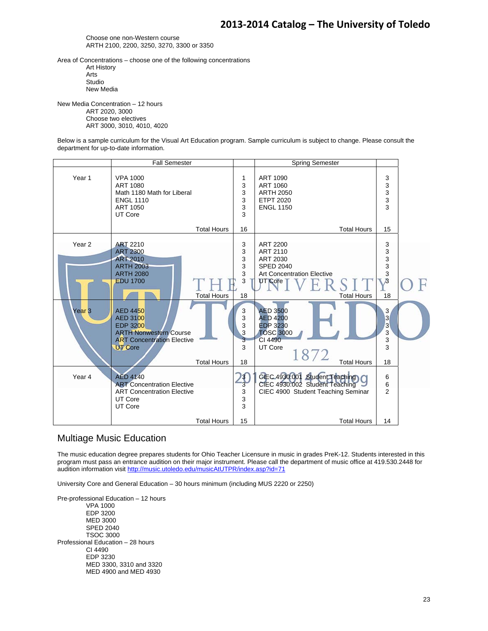Choose one non-Western course ARTH 2100, 2200, 3250, 3270, 3300 or 3350

Area of Concentrations – choose one of the following concentrations Art History Arts Studio New Media

New Media Concentration – 12 hours ART 2020, 3000 Choose two electives ART 3000, 3010, 4010, 4020

Below is a sample curriculum for the Visual Art Education program. Sample curriculum is subject to change. Please consult the department for up-to-date information.



### Multiage Music Education

The music education degree prepares students for Ohio Teacher Licensure in music in grades PreK-12. Students interested in this program must pass an entrance audition on their major instrument. Please call the department of music office at 419.530.2448 for audition information visit http://music.utoledo.edu/musicAtUTPR/index.asp?id=71

University Core and General Education – 30 hours minimum (including MUS 2220 or 2250)

Pre-professional Education – 12 hours VPA 1000 EDP 3200 MED 3000 SPED 2040 TSOC 3000 Professional Education – 28 hours CI 4490 EDP 3230 MED 3300, 3310 and 3320 MED 4900 and MED 4930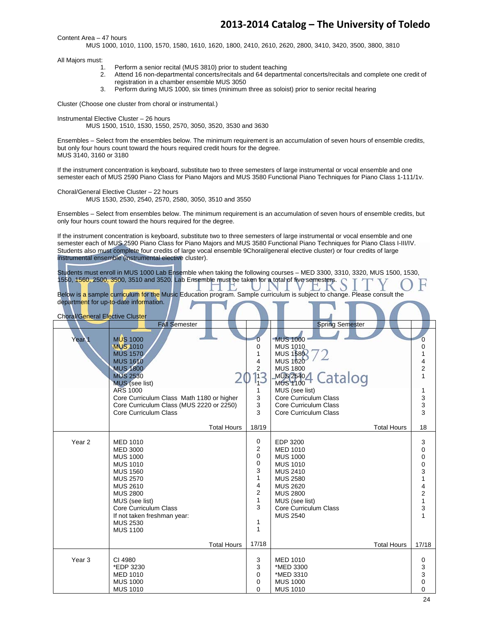Content Area – 47 hours

MUS 1000, 1010, 1100, 1570, 1580, 1610, 1620, 1800, 2410, 2610, 2620, 2800, 3410, 3420, 3500, 3800, 3810

All Majors must:

- 1. Perform a senior recital (MUS 3810) prior to student teaching
- 2. Attend 16 non-departmental concerts/recitals and 64 departmental concerts/recitals and complete one credit of registration in a chamber ensemble MUS 3050
- 3. Perform during MUS 1000, six times (minimum three as soloist) prior to senior recital hearing

Cluster (Choose one cluster from choral or instrumental.)

Instrumental Elective Cluster – 26 hours

MUS 1500, 1510, 1530, 1550, 2570, 3050, 3520, 3530 and 3630

Ensembles – Select from the ensembles below. The minimum requirement is an accumulation of seven hours of ensemble credits, but only four hours count toward the hours required credit hours for the degree. MUS 3140, 3160 or 3180

If the instrument concentration is keyboard, substitute two to three semesters of large instrumental or vocal ensemble and one semester each of MUS 2590 Piano Class for Piano Majors and MUS 3580 Functional Piano Techniques for Piano Class 1-111/1v.

Choral/General Elective Cluster – 22 hours MUS 1530, 2530, 2540, 2570, 2580, 3050, 3510 and 3550

Ensembles – Select from ensembles below. The minimum requirement is an accumulation of seven hours of ensemble credits, but only four hours count toward the hours required for the degree.

If the instrument concentration is keyboard, substitute two to three semesters of large instrumental or vocal ensemble and one semester each of MUS 2590 Piano Class for Piano Majors and MUS 3580 Functional Piano Techniques for Piano Class I-III/IV. Students also must complete four credits of large vocal ensemble 9Choral/general elective cluster) or four credits of large instrumental ensemble (instrumental elective cluster).

Students must enroll in MUS 1000 Lab Ensemble when taking the following courses – MED 3300, 3310, 3320, MUS 1500, 1530, 1550, 1560, 2500, 3500, 3510 and 3520. Lab Ensemble must be taken for a total of five semesters.

|  |  |                                        |  |                                                                                                                          |  |  | . |  |  |
|--|--|----------------------------------------|--|--------------------------------------------------------------------------------------------------------------------------|--|--|---|--|--|
|  |  |                                        |  | Below is a sample curriculum for the Music Education program. Sample curriculum is subject to change. Please consult the |  |  |   |  |  |
|  |  |                                        |  |                                                                                                                          |  |  |   |  |  |
|  |  | department for up-to-date information. |  |                                                                                                                          |  |  |   |  |  |
|  |  |                                        |  |                                                                                                                          |  |  |   |  |  |

| <b>Choral/General Elective Cluster</b> |                                                                                                                                                                                                                                                                      |                                                                                                                            |                                                                                                                                                                                                             |                    |                                                                                                                                                      |
|----------------------------------------|----------------------------------------------------------------------------------------------------------------------------------------------------------------------------------------------------------------------------------------------------------------------|----------------------------------------------------------------------------------------------------------------------------|-------------------------------------------------------------------------------------------------------------------------------------------------------------------------------------------------------------|--------------------|------------------------------------------------------------------------------------------------------------------------------------------------------|
|                                        | <b>Fall Semester</b>                                                                                                                                                                                                                                                 |                                                                                                                            | <b>Spring Semester</b>                                                                                                                                                                                      |                    |                                                                                                                                                      |
| Year <sub>1</sub>                      | <b>MUS 1000</b><br><b>MUS 1010</b><br><b>MUS 1570</b><br><b>MUS 1610</b><br><b>MUS 1800</b><br><b>MUS 2530</b><br><b>MUS</b> (see list)<br><b>ARS 1000</b><br>Core Curriculum Class Math 1180 or higher<br>Core Curriculum Class (MUS 2220 or 2250)                  | o<br>0<br>1<br>4<br>$\overline{2}$<br>13<br>1<br>3<br>3                                                                    | <b>MUS 1000</b><br><b>MUS 1010</b><br><b>MUS 1580</b><br><b>MUS 1620</b><br><b>MUS 1800</b><br>Catalog<br>MUS 2540<br><b>MUS 1100</b><br>MUS (see list)<br>Core Curriculum Class<br>Core Curriculum Class   |                    | $\overline{0}$<br>0<br>1<br>$\frac{4}{2}$<br>1<br>$\frac{3}{3}$                                                                                      |
|                                        | Core Curriculum Class                                                                                                                                                                                                                                                | 3                                                                                                                          | Core Curriculum Class                                                                                                                                                                                       |                    | 3                                                                                                                                                    |
|                                        | <b>Total Hours</b>                                                                                                                                                                                                                                                   | 18/19                                                                                                                      |                                                                                                                                                                                                             | <b>Total Hours</b> | 18                                                                                                                                                   |
| Year <sub>2</sub>                      | <b>MED 1010</b><br><b>MED 3000</b><br><b>MUS 1000</b><br><b>MUS 1010</b><br><b>MUS 1560</b><br><b>MUS 2570</b><br><b>MUS 2610</b><br><b>MUS 2800</b><br>MUS (see list)<br>Core Curriculum Class<br>If not taken freshman year:<br><b>MUS 2530</b><br><b>MUS 1100</b> | 0<br>2<br>$\mathbf 0$<br>$\mathbf 0$<br>3<br>$\mathbf{1}$<br>4<br>$\overline{c}$<br>$\mathbf{1}$<br>3<br>1<br>$\mathbf{1}$ | EDP 3200<br><b>MED 1010</b><br><b>MUS 1000</b><br><b>MUS 1010</b><br><b>MUS 2410</b><br><b>MUS 2580</b><br><b>MUS 2620</b><br><b>MUS 2800</b><br>MUS (see list)<br>Core Curriculum Class<br><b>MUS 2540</b> |                    | 3<br>0<br>$\mathbf 0$<br>$\pmb{0}$<br>$\begin{array}{c} 3 \\ 1 \end{array}$<br>$\overline{\mathbf{4}}$<br>$\begin{array}{c} 2 \\ 1 \end{array}$<br>3 |
|                                        | <b>Total Hours</b>                                                                                                                                                                                                                                                   | 17/18                                                                                                                      |                                                                                                                                                                                                             | <b>Total Hours</b> | 17/18                                                                                                                                                |
| Year <sub>3</sub>                      | CI 4980<br>*EDP 3230<br><b>MED 1010</b><br><b>MUS 1000</b><br><b>MUS 1010</b>                                                                                                                                                                                        | 3<br>3<br>0<br>0<br>0                                                                                                      | <b>MED 1010</b><br>*MED 3300<br>*MED 3310<br><b>MUS 1000</b><br><b>MUS 1010</b>                                                                                                                             |                    | 0<br>3<br>3<br>$\mathbf 0$<br>$\mathbf 0$                                                                                                            |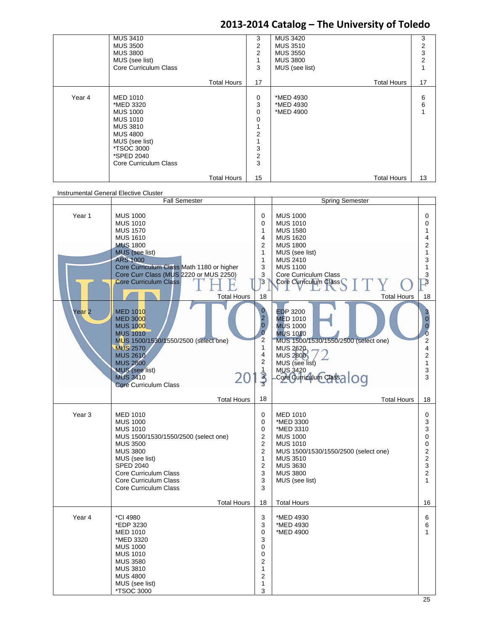|        | <b>MUS 3410</b><br><b>MUS 3500</b><br><b>MUS 3800</b><br>MUS (see list)<br>Core Curriculum Class                                                                                              |                    | 3<br>2<br>$\overline{2}$<br>1<br>3                                  | <b>MUS 3420</b><br><b>MUS 3510</b><br><b>MUS 3550</b><br><b>MUS 3800</b><br>MUS (see list) |                    | 3<br>2<br>3<br>2 |
|--------|-----------------------------------------------------------------------------------------------------------------------------------------------------------------------------------------------|--------------------|---------------------------------------------------------------------|--------------------------------------------------------------------------------------------|--------------------|------------------|
|        |                                                                                                                                                                                               | <b>Total Hours</b> | 17                                                                  |                                                                                            | <b>Total Hours</b> | 17               |
| Year 4 | <b>MED 1010</b><br>*MED 3320<br><b>MUS 1000</b><br><b>MUS 1010</b><br><b>MUS 3810</b><br><b>MUS 4800</b><br>MUS (see list)<br><i><b>*TSOC 3000</b></i><br>*SPED 2040<br>Core Curriculum Class |                    | 0<br>3<br>0<br>0<br>1<br>$\overline{2}$<br>3<br>$\overline{2}$<br>3 | *MED 4930<br>*MED 4930<br>*MED 4900                                                        |                    | 6<br>6<br>1      |
|        |                                                                                                                                                                                               | <b>Total Hours</b> | 15                                                                  |                                                                                            | <b>Total Hours</b> | 13               |

| Instrumental General Elective Cluster |                                                                                                                                                                                                                                                                                      |                                                                                                                                   |                                                                                                                                                                                                                                       |                                                                                                                               |
|---------------------------------------|--------------------------------------------------------------------------------------------------------------------------------------------------------------------------------------------------------------------------------------------------------------------------------------|-----------------------------------------------------------------------------------------------------------------------------------|---------------------------------------------------------------------------------------------------------------------------------------------------------------------------------------------------------------------------------------|-------------------------------------------------------------------------------------------------------------------------------|
|                                       | <b>Fall Semester</b>                                                                                                                                                                                                                                                                 |                                                                                                                                   | <b>Spring Semester</b>                                                                                                                                                                                                                |                                                                                                                               |
| Year 1                                | <b>MUS 1000</b><br><b>MUS 1010</b><br><b>MUS 1570</b><br><b>MUS 1610</b><br><b>MUS 1800</b><br><b>MUS</b> (see list)<br><b>ARS 1000</b><br>Core Curriculum Class Math 1180 or higher<br>Core Curr Class (MUS 2220 or MUS 2250)<br><b>Core Curriculum Class</b><br><b>Total Hours</b> | 0<br>0<br>1<br>4<br>2<br>1<br>1<br>3<br>3<br>3<br>18                                                                              | <b>MUS 1000</b><br><b>MUS 1010</b><br><b>MUS 1580</b><br><b>MUS 1620</b><br><b>MUS 1800</b><br>MUS (see list)<br><b>MUS 2410</b><br><b>MUS 1100</b><br>Core Curriculum Class<br>Core Curriculum Class<br><b>Total Hours</b>           | 0<br>0<br>1<br>4<br>$\overline{c}$<br>$\mathbf{1}$<br>3<br>$\mathbf{1}$<br>3<br>З<br>18                                       |
| Year <sub>2</sub>                     | <b>MED 1010</b><br><b>MED 3000</b><br><b>MUS 1000</b><br><b>MUS 1010</b><br>MUS 1500/1530/1550/2500 (select one)<br><b>MUS 2570</b><br><b>MUS 2610</b><br><b>MUS 2800</b><br>MUS (see list)<br>20<br><b>MUS 3410</b><br><b>Core Curriculum Class</b>                                 | $\mathbf{0}$<br>$\overline{c}$<br>$\overline{0}$<br>$\overline{0}$<br>$\overline{2}$<br>1<br>4<br>$\overline{2}$<br>$\frac{1}{3}$ | <b>EDP 3200</b><br><b>MED 1010</b><br><b>MUS 1000</b><br><b>MUS 1010</b><br>MUS 1500/1530/1550/2500 (select one)<br><b>MUS 2620</b><br><b>MUS 2800</b><br>MUS (see list)<br><b>MUS 3420</b><br>MUS 3420<br>Core Curriculum Class a OG | 3<br>$\overline{0}$<br>$\mathbf{0}$<br>$\ddot{\mathbf{0}}$<br>$\overline{2}$<br>4<br>$\overline{2}$<br>$\mathbf{1}$<br>3<br>3 |
|                                       | <b>Total Hours</b>                                                                                                                                                                                                                                                                   | 18                                                                                                                                | <b>Total Hours</b>                                                                                                                                                                                                                    | 18                                                                                                                            |
| Year <sub>3</sub>                     | <b>MED 1010</b><br><b>MUS 1000</b><br><b>MUS 1010</b><br>MUS 1500/1530/1550/2500 (select one)<br><b>MUS 3500</b><br><b>MUS 3800</b><br>MUS (see list)<br><b>SPED 2040</b><br>Core Curriculum Class<br>Core Curriculum Class<br>Core Curriculum Class                                 | 0<br>0<br>0<br>2<br>$\overline{2}$<br>$\overline{2}$<br>$\mathbf{1}$<br>$\overline{2}$<br>3<br>3<br>3                             | <b>MED 1010</b><br>*MED 3300<br>*MED 3310<br><b>MUS 1000</b><br><b>MUS 1010</b><br>MUS 1500/1530/1550/2500 (select one)<br><b>MUS 3510</b><br><b>MUS 3630</b><br><b>MUS 3800</b><br>MUS (see list)                                    | 0<br>3<br>3<br>0<br>0<br>$\overline{2}$<br>$\overline{2}$<br>3<br>$\overline{2}$<br>$\mathbf{1}$                              |
|                                       | <b>Total Hours</b>                                                                                                                                                                                                                                                                   | 18                                                                                                                                | <b>Total Hours</b>                                                                                                                                                                                                                    | 16                                                                                                                            |
| Year 4                                | *CI 4980<br>*EDP 3230<br><b>MED 1010</b><br>*MED 3320<br><b>MUS 1000</b><br><b>MUS 1010</b><br><b>MUS 3580</b><br><b>MUS 3810</b><br><b>MUS 4800</b><br>MUS (see list)<br>*TSOC 3000                                                                                                 | 3<br>3<br>0<br>3<br>0<br>0<br>$\overline{2}$<br>1<br>$\overline{2}$<br>1<br>3                                                     | *MED 4930<br>*MED 4930<br>*MED 4900                                                                                                                                                                                                   | 6<br>6<br>$\mathbf{1}$                                                                                                        |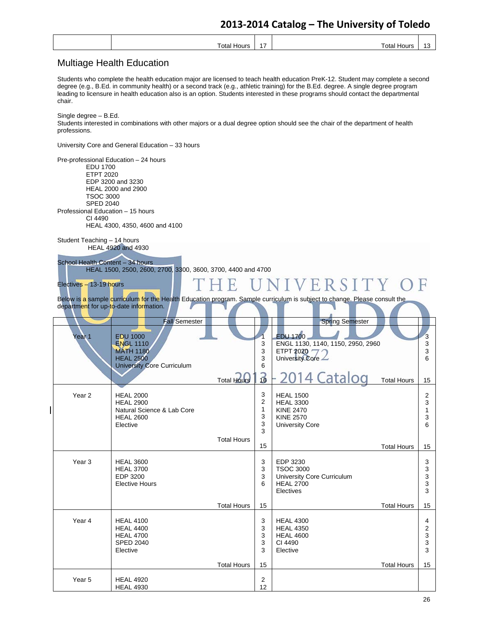| ั∩ta<br><br>m<br>- | .<br>. . | . <b>.</b><br>ט ו |
|--------------------|----------|-------------------|
|                    |          |                   |

### Multiage Health Education

Students who complete the health education major are licensed to teach health education PreK-12. Student may complete a second degree (e.g., B.Ed. in community health) or a second track (e.g., athletic training) for the B.Ed. degree. A single degree program leading to licensure in health education also is an option. Students interested in these programs should contact the departmental chair.

Single degree – B.Ed. Students interested in combinations with other majors or a dual degree option should see the chair of the department of health professions.

University Core and General Education – 33 hours

Pre-professional Education – 24 hours EDU 1700 ETPT 2020 EDP 3200 and 3230 HEAL 2000 and 2900 TSOC 3000 SPED 2040 Professional Education – 15 hours CI 4490 HEAL 4300, 4350, 4600 and 4100 Student Teaching – 14 hours HEAL 4920 and 4930 School Health Content – 34 hours HEAL 1500, 2500, 2600, 2700, 3300, 3600, 3700, 4400 and 4700 NIVERSITY Electives – 13-19 hours Below is a sample curriculum for the Health Education program. Sample curriculum is subject to change. Please consult the department for up-to-date information. Fall Semester **Spring Semester Spring Semester**  $\sqrt{2}$ ear 1 EDU 1000 EDU 1700 3 1 **ENGL 1110** 3 ENGL 1130, 1140, 1150, 2950, 2960 3 MATH 1180 3 ETPT 2020 3 University Core HEAL 2500 3 6 University Core Curriculum 6 16 014 Cataloc Total Hours Total Hours 15 3 Year 2 | HEAL 2000 HEAL 1500 2 HEAL 2900 2 HEAL 3300 3 Natural Science & Lab Core 1 KINE 2470 1 3 HEAL 2600 KINE 2570 3 Elective 3 University Core 6 3 Total Hours 15 Total Hours 15 Year 3 | HEAL 3600 3 EDP 3230 3 HEAL 3700 3 TSOC 3000 3 University Core Curriculum EDP 3200 3 3 Elective Hours 6 HEAL 2700 3 **Electives** 3 Total Hours Total Hours 15 15 3 Year 4 | HEAL 4100 HEAL 4300 4 HEAL 4400 HEAL 4350 3 2 HEAL 4700 HEAL 4600 3 3 SPED 2040 3 CI 4490 3 Elective 3 Elective 3 Total Hours 15 Total Hours 15 Year 5 | HEAL 4920 2 HEAL 4930 12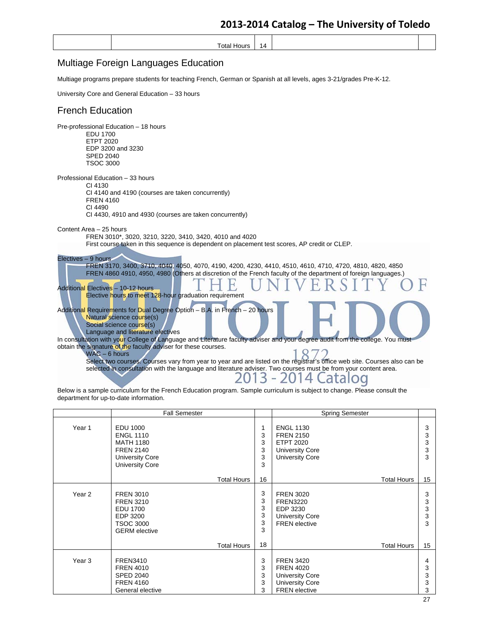### Multiage Foreign Languages Education

Multiage programs prepare students for teaching French, German or Spanish at all levels, ages 3-21/grades Pre-K-12.

University Core and General Education – 33 hours

### French Education

| Pre-professional Education - 18 hours<br>EDU 1700<br><b>ETPT 2020</b><br>EDP 3200 and 3230<br><b>SPED 2040</b><br><b>TSOC 3000</b>                                                                                                                                                                                                                                                                                                                                |
|-------------------------------------------------------------------------------------------------------------------------------------------------------------------------------------------------------------------------------------------------------------------------------------------------------------------------------------------------------------------------------------------------------------------------------------------------------------------|
| Professional Education - 33 hours<br>CI 4130<br>CI 4140 and 4190 (courses are taken concurrently)<br><b>FREN 4160</b><br>CI 4490<br>CI 4430, 4910 and 4930 (courses are taken concurrently)                                                                                                                                                                                                                                                                       |
| Content Area - 25 hours<br>FREN 3010*, 3020, 3210, 3220, 3410, 3420, 4010 and 4020<br>First course taken in this sequence is dependent on placement test scores, AP credit or CLEP.                                                                                                                                                                                                                                                                               |
| Electives - 9 hours<br>FREN 3170, 3400, 3710, 4040, 4050, 4070, 4190, 4200, 4230, 4410, 4510, 4610, 4710, 4720, 4810, 4820, 4850<br>FREN 4860 4910, 4950, 4980 (Others at discretion of the French faculty of the department of foreign languages.)<br>Additional Electives - 10-12 hours<br>Elective hours to meet 128-hour graduation requirement                                                                                                               |
| Additional Requirements for Dual Degree Option - B.A. in French - 20 hours<br>Natural science course(s)<br>Social science course(s)<br>Language and literature electives                                                                                                                                                                                                                                                                                          |
| In consultation with your College of Language and Literature faculty adviser and your degree audit from the college. You must<br>obtain the signature of the faculty adviser for these courses.<br>$WAC - 6$ hours<br>Select two courses. Courses vary from year to year and are listed on the registrar's office web site. Courses also can be<br>selected in consultation with the language and literature adviser. Two courses must be from your content area. |

Below is a sample curriculum for the French Education program. Sample curriculum is subject to change. Please consult the department for up-to-date information.

|                   | <b>Fall Semester</b>                                                                                                     |                                       | <b>Spring Semester</b>                                                                                           |                       |
|-------------------|--------------------------------------------------------------------------------------------------------------------------|---------------------------------------|------------------------------------------------------------------------------------------------------------------|-----------------------|
| Year 1            | EDU 1000<br><b>ENGL 1110</b><br><b>MATH 1180</b><br><b>FREN 2140</b><br><b>University Core</b><br><b>University Core</b> | $\mathbf{1}$<br>3<br>3<br>3<br>3<br>3 | <b>ENGL 1130</b><br><b>FREN 2150</b><br><b>ETPT 2020</b><br><b>University Core</b><br><b>University Core</b>     | 3<br>3<br>3<br>3<br>3 |
|                   | <b>Total Hours</b>                                                                                                       | 16                                    | <b>Total Hours</b>                                                                                               | 15                    |
| Year <sub>2</sub> | <b>FREN 3010</b><br><b>FREN 3210</b><br><b>EDU 1700</b><br>EDP 3200<br><b>TSOC 3000</b><br><b>GERM</b> elective          | 3<br>3<br>3<br>3<br>3<br>3            | <b>FREN 3020</b><br><b>FREN3220</b><br>EDP 3230<br><b>University Core</b><br><b>FREN</b> elective                | 3<br>3<br>3<br>3<br>3 |
|                   | <b>Total Hours</b>                                                                                                       | 18                                    | <b>Total Hours</b>                                                                                               | 15                    |
| Year <sub>3</sub> | <b>FREN3410</b><br><b>FREN 4010</b><br><b>SPED 2040</b><br><b>FREN 4160</b><br>General elective                          | 3<br>3<br>3<br>3<br>3                 | <b>FREN 3420</b><br><b>FREN 4020</b><br><b>University Core</b><br><b>University Core</b><br><b>FREN</b> elective | 4<br>3<br>3<br>3<br>3 |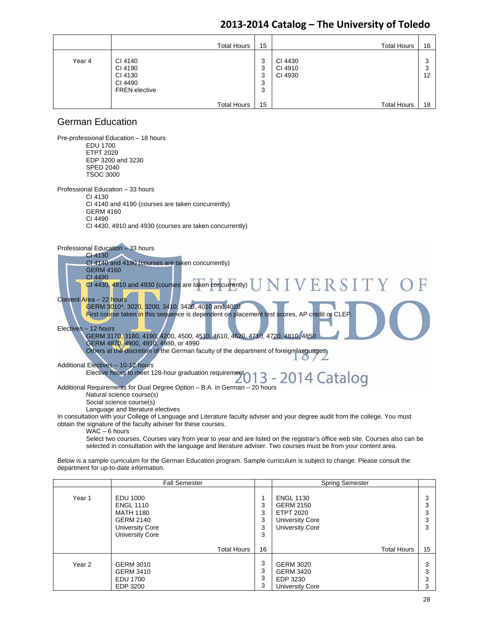|        | <b>Total Hours</b>                                               | 15                    | <b>Total Hours</b>            | 16           |
|--------|------------------------------------------------------------------|-----------------------|-------------------------------|--------------|
| Year 4 | CI 4140<br>CI 4190<br>CI 4130<br>CI 4490<br><b>FREN</b> elective | 3<br>3<br>3<br>3<br>3 | CI 4430<br>CI 4910<br>CI 4930 | 3<br>3<br>12 |
|        | <b>Total Hours</b>                                               | 15                    | <b>Total Hours</b>            | 18           |

### German Education

Pre-professional Education – 18 hours EDU 1700 ETPT 2020 EDP 3200 and 3230 SPED 2040 TSOC 3000 Professional Education – 33 hours CI 4130 CI 4140 and 4190 (courses are taken concurrently) GERM 4160 CI 4490 CI 4430, 4910 and 4930 (courses are taken concurrently) Professional Education – 33 hours CI 4130 CI 4140 and 4190 (courses are taken concurrently) GERM 4160 CI 4490 **JIVERSIT**  CI 4430, 4910 and 4930 (courses are taken concurrently) Content Area – 22 hours GERM 3010\*, 3020, 3200, 3410, 3420, 4010 and 4020 First course taken in this sequence is dependent on placement test scores, AP credit or CLEP. Electives – 12 hours GERM 3170, 3180, 4190, 4200, 4500, 4510, 4610, 4620, 4710, 4720, 4810, 4850 GERM 4870, 4900, 4910, 4980, or 4990 Others at the discretion of the German faculty of the department of foreign languages.  $\Omega$  $\sqrt{2}$ Additional Electives – 10-12 hours Elective hours to meet 128-hour graduation requirement 013 - 2014 Catalog Additional Requirements for Dual Degree Option – B.A. in German – 20 hours Natural science course(s) Social science course(s) Language and literature electives In consultation with your College of Language and Literature faculty adviser and your degree audit from the college. You must obtain the signature of the faculty adviser for these courses.

WAC – 6 hours

Select two courses. Courses vary from year to year and are listed on the registrar's office web site. Courses also can be selected in consultation with the language and literature adviser. Two courses must be from your content area.

Below is a sample curriculum for the German Education program. Sample curriculum is subject to change. Please consult the department for up-to-date information.

|                   | <b>Fall Semester</b>                                                                                              |                       | <b>Spring Semester</b>                                                                                       |                       |
|-------------------|-------------------------------------------------------------------------------------------------------------------|-----------------------|--------------------------------------------------------------------------------------------------------------|-----------------------|
| Year 1            | EDU 1000<br><b>ENGL 1110</b><br><b>MATH 1180</b><br><b>GERM 2140</b><br><b>University Core</b><br>University Core | 3<br>3<br>3<br>3<br>3 | <b>ENGL 1130</b><br><b>GERM 2150</b><br><b>ETPT 2020</b><br><b>University Core</b><br><b>University Core</b> | 3<br>3<br>3<br>3<br>3 |
|                   | <b>Total Hours</b>                                                                                                | 16                    | <b>Total Hours</b>                                                                                           | 15                    |
| Year <sub>2</sub> | <b>GERM 3010</b><br><b>GERM 3410</b><br><b>EDU 1700</b><br>EDP 3200                                               | 3<br>3<br>3<br>3      | <b>GERM 3020</b><br><b>GERM 3420</b><br>EDP 3230<br>University Core                                          | 3<br>3<br>3<br>3      |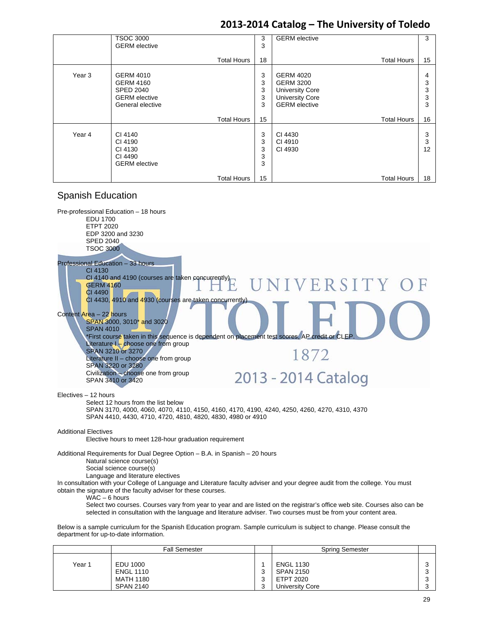|                   | <b>TSOC 3000</b><br><b>GERM</b> elective                                                             | 3<br>3                | <b>GERM</b> elective                                                                                             | 3                     |
|-------------------|------------------------------------------------------------------------------------------------------|-----------------------|------------------------------------------------------------------------------------------------------------------|-----------------------|
|                   | <b>Total Hours</b>                                                                                   | 18                    | <b>Total Hours</b>                                                                                               | 15                    |
| Year <sub>3</sub> | <b>GERM 4010</b><br><b>GERM 4160</b><br><b>SPED 2040</b><br><b>GERM</b> elective<br>General elective | 3<br>3<br>3<br>3<br>3 | <b>GERM 4020</b><br><b>GERM 3200</b><br><b>University Core</b><br><b>University Core</b><br><b>GERM</b> elective | 4<br>3<br>3<br>3<br>3 |
|                   | <b>Total Hours</b>                                                                                   | 15                    | <b>Total Hours</b>                                                                                               | 16                    |
| Year 4            | CI 4140<br>CI 4190<br>CI 4130<br>CI 4490<br><b>GERM</b> elective                                     | 3<br>3<br>3<br>3<br>3 | CI 4430<br>CI 4910<br>CI 4930                                                                                    | 3<br>3<br>12          |
|                   | <b>Total Hours</b>                                                                                   | 15                    | <b>Total Hours</b>                                                                                               | 18                    |

### Spanish Education



|        | <b>Fall Semester</b>          |             | <b>Spring Semester</b>        |  |
|--------|-------------------------------|-------------|-------------------------------|--|
| Year 1 | EDU 1000                      |             | <b>ENGL 1130</b>              |  |
|        | <b>ENGL 1110</b><br>MATH 1180 | $\sim$<br>ົ | <b>SPAN 2150</b><br>ETPT 2020 |  |
|        | <b>SPAN 2140</b>              | $\sim$      | <b>University Core</b>        |  |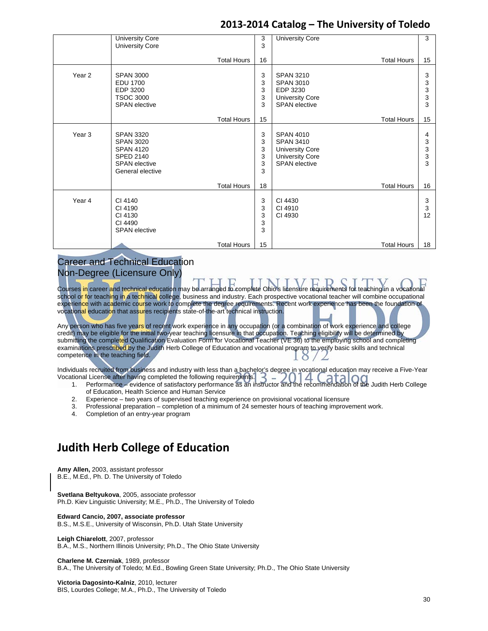|                   | <b>University Core</b> | 3  | <b>University Core</b> |                    | 3                         |
|-------------------|------------------------|----|------------------------|--------------------|---------------------------|
|                   | <b>University Core</b> | 3  |                        |                    |                           |
|                   |                        |    |                        |                    |                           |
|                   | <b>Total Hours</b>     | 16 |                        | <b>Total Hours</b> | 15                        |
|                   |                        |    |                        |                    |                           |
| Year <sub>2</sub> | <b>SPAN 3000</b>       | 3  | <b>SPAN 3210</b>       |                    | 3                         |
|                   | <b>EDU 1700</b>        | 3  | <b>SPAN 3010</b>       |                    | 3                         |
|                   | EDP 3200               | 3  | EDP 3230               |                    | 3                         |
|                   | <b>TSOC 3000</b>       |    |                        |                    |                           |
|                   |                        | 3  | <b>University Core</b> |                    | 3                         |
|                   | <b>SPAN</b> elective   | 3  | <b>SPAN</b> elective   |                    | 3                         |
|                   | <b>Total Hours</b>     | 15 |                        | <b>Total Hours</b> | 15                        |
|                   |                        |    |                        |                    |                           |
| Year 3            | <b>SPAN 3320</b>       | 3  | <b>SPAN 4010</b>       |                    | 4                         |
|                   | <b>SPAN 3020</b>       | 3  | <b>SPAN 3410</b>       |                    | 3                         |
|                   | <b>SPAN 4120</b>       | 3  | <b>University Core</b> |                    | 3                         |
|                   |                        | 3  |                        |                    | $\ensuremath{\mathsf{3}}$ |
|                   | <b>SPED 2140</b>       |    | <b>University Core</b> |                    |                           |
|                   | <b>SPAN</b> elective   | 3  | <b>SPAN</b> elective   |                    | 3                         |
|                   | General elective       | 3  |                        |                    |                           |
|                   | <b>Total Hours</b>     | 18 |                        | <b>Total Hours</b> | 16                        |
|                   |                        |    |                        |                    |                           |
| Year 4            | CI 4140                | 3  | CI 4430                |                    | 3                         |
|                   | CI 4190                | 3  | CI 4910                |                    | $\mathbf{3}$              |
|                   |                        |    |                        |                    |                           |
|                   | CI 4130                | 3  | CI 4930                |                    | 12                        |
|                   | CI 4490                | 3  |                        |                    |                           |
|                   | <b>SPAN</b> elective   | 3  |                        |                    |                           |
|                   | <b>Total Hours</b>     | 15 |                        | <b>Total Hours</b> | 18                        |
|                   |                        |    |                        |                    |                           |

### Career and Technical Education Non-Degree (Licensure Only)

Courses in career and technical education may be arranged to complete Ohio's licensure requirements for teaching in a vocational school or for teaching in a technical college, business and industry. Each prospective vocational teacher will combine occupational experience with academic course work to complete the degree requirements. Recent work experience has been the foundation of vocational education that assures recipients state-of-the-art technical instruction.

Any person who has five years of recent work experience in any occupation (or a combination of work experience and college credit) may be eligible for the initial two-year teaching licensure in that occupation. Teaching eligibility will be determined by submitting the completed Qualification Evaluation Form for Vocational Teacher (VE 36) to the employing school and completing examinations prescribed by the Judith Herb College of Education and vocational program to verify basic skills and technical competence in the teaching field.

Individuals recruited from business and industry with less than a bachelor's degree in vocational education may receive a Five-Year Vocational License after having completed the following requirements. tional License after having completed the following requirements.<br>1. Performance – evidence of satisfactory performance as an instructor and the recommendation of the Judith Herb College

- of Education, Health Science and Human Service
- 2. Experience two years of supervised teaching experience on provisional vocational licensure
- 3. Professional preparation completion of a minimum of 24 semester hours of teaching improvement work.
- 4. Completion of an entry-year program

# **Judith Herb College of Education**

**Amy Allen,** 2003, assistant professor B.E., M.Ed., Ph. D. The University of Toledo

**Svetlana Beltyukova**, 2005, associate professor Ph.D. Kiev Linguistic University; M.E., Ph.D., The University of Toledo

#### **Edward Cancio, 2007, associate professor**

B.S., M.S.E., University of Wisconsin, Ph.D. Utah State University

**Leigh Chiarelott**, 2007, professor B.A., M.S., Northern Illinois University; Ph.D., The Ohio State University

#### **Charlene M. Czerniak**, 1989, professor

B.A., The University of Toledo; M.Ed., Bowling Green State University; Ph.D., The Ohio State University

**Victoria Dagosinto-Kalniz**, 2010, lecturer BIS, Lourdes College; M.A., Ph.D., The University of Toledo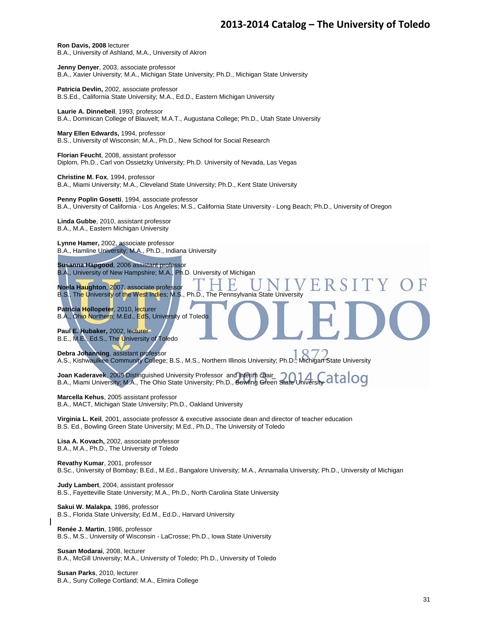**Ron Davis, 2008** lecturer B.A., University of Ashland, M.A., University of Akron

**Jenny Denyer**, 2003, associate professor B.A., Xavier University; M.A., Michigan State University; Ph.D., Michigan State University

**Patricia Devlin,** 2002, associate professor B.S.Ed., California State University; M.A., Ed.D., Eastern Michigan University

**Laurie A. Dinnebeil**, 1993, professor B.A., Dominican College of Blauvelt; M.A.T., Augustana College; Ph.D., Utah State University

**Mary Ellen Edwards,** 1994, professor B.S., University of Wisconsin; M.A., Ph.D., New School for Social Research

**Florian Feucht**, 2008, assistant professor Diplom, Ph.D., Carl von Ossietzky University; Ph.D. University of Nevada, Las Vegas

**Christine M. Fox**, 1994, professor B.A., Miami University; M.A., Cleveland State University; Ph.D., Kent State University

**Penny Poplin Gosetti**, 1994, associate professor B.A., University of California - Los Angeles; M.S., California State University - Long Beach; Ph.D., University of Oregon

**Linda Gubbe**, 2010, assistant professor B.A., M.A., Eastern Michigan University

**Lynne Hamer,** 2002, associate professor B.A., Hamline University; M.A., Ph.D., Indiana University

**Susanna Hapgood**, 2006 assistant professor B.A., University of New Hampshire; M.A., Ph.D. University of Michigan

**Noela Haughton**, 2007, associate professor B.S., The University of the West Indies; M.S., Ph.D., The Pennsylvania State University

**Patricia Hollopeter**, 2010, lecturer B.A., Ohio Northern; M.Ed., EdS, University of Toledo

**Paul E. Hubaker,** 2002, lecturer B.E., M.E., Ed.S., The University of Toledo

**Debra Johanning**, assistant professor A.S., Kishwaulkee Community College; B.S., M.S., Northern Illinois University; Ph.D., Michigan State University

**Joan Kaderavek**, 2009 Distinguished University Professor and interim chair B.A., Miami University; M.A., The Ohio State University; Ph.D., Bowling Green State University

**Marcella Kehus**, 2005 assistant professor B.A., MACT, Michigan State University; Ph.D., Oakland University

**Virginia L. Keil**, 2001, associate professor & executive associate dean and director of teacher education B.S. Ed., Bowling Green State University; M.Ed., Ph.D., The University of Toledo

**Lisa A. Kovach,** 2002, associate professor B.A., M.A., Ph.D., The University of Toledo

**Revathy Kumar**, 2001, professor B.Sc., University of Bombay; B.Ed., M.Ed., Bangalore University; M.A., Annamalia University; Ph.D., University of Michigan

**Judy Lambert**, 2004, assistant professor B.S., Fayetteville State University; M.A., Ph.D., North Carolina State University

**Sakui W. Malakpa**, 1986, professor B.S., Florida State University; Ed.M., Ed.D., Harvard University

**Renée J. Martin**, 1986, professor B.S., M.S., University of Wisconsin - LaCrosse; Ph.D., Iowa State University

**Susan Modarai**, 2008, lecturer B.A., McGill University; M.A., University of Toledo; Ph.D., University of Toledo

**Susan Parks**, 2010, lecturer B.A., Suny College Cortland; M.A., Elmira College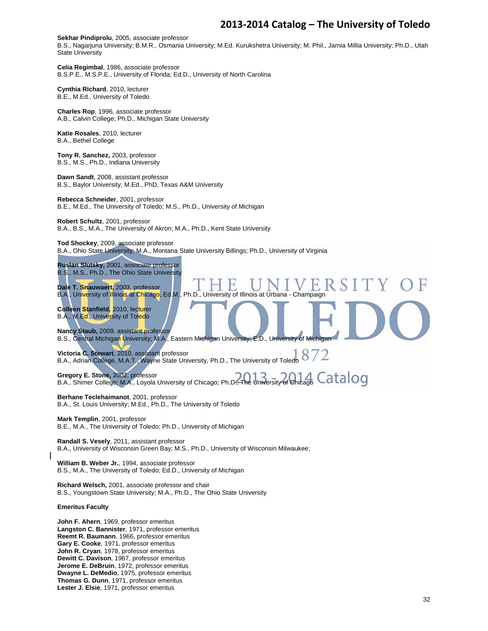#### **Sekhar Pindiprolu**, 2005, associate professor

B.S., Nagarjuna University; B.M.R., Osmania University; M.Ed. Kurukshetra University; M. Phil., Jarnia Millia University; Ph.D., Utah State University

**Celia Regimbal**, 1986, associate professor B.S.P.E., M.S.P.E., University of Florida; Ed.D., University of North Carolina

**Cynthia Richard**, 2010, lecturer B.E., M.Ed., University of Toledo

**Charles Rop**, 1996, associate professor A.B., Calvin College; Ph.D., Michigan State University

**Katie Rosales**, 2010, lecturer B.A., Bethel College

**Tony R. Sanchez,** 2003, professor B.S., M.S., Ph.D., Indiana University

**Dawn Sandt**, 2008, assistant professor B.S., Baylor University; M.Ed., PhD, Texas A&M University

**Rebecca Schneider**, 2001, professor B.E., M.Ed., The University of Toledo; M.S., Ph.D., University of Michigan

**Robert Schultz**, 2001, professor B.A., B.S., M.A., The University of Akron; M.A., Ph.D., Kent State University

**Tod Shockey**, 2009, associate professor B.A., Ohio State University; M.A., Montana State University Billings; Ph.D., University of Virginia

**Ruslan Slutsky,** 2001, associate professor B.S., M.S., Ph.D., The Ohio State University

**Dale T. Snauwaert,** 2003, professor B.A., University of Illinois at Chicago, Ed.M., Ph.D., University of Illinois at Urbana - Champaign

**Colleen Stanfield**, 2010, lecturer B.A., M.Ed., University of Toledo

**Nancy Staub,** 2009, assistant professor B.S., Central Michigan University; M.A., Eastern Michigan University; E.D., University of Michigan

**Victoria C. Stewart**, 2010, assistant professor B.A., Adrian College, M.A.T., Wayne State University, Ph.D., The University of Toledo

**Gregory E. Stone,** 2002, professor B.A., Shimer College; M.A., Loyola University of Chicago; Ph.D., The University of Chicago

**Berhane Teclehaimanot**, 2001, professor B.A., St. Louis University; M.Ed., Ph.D., The University of Toledo

**Mark Templin**, 2001, professor B.E., M.A., The University of Toledo; Ph.D., University of Michigan

**Randall S. Vesely**, 2011, assistant professor B.A., University of Wisconsin Green Bay; M.S., Ph.D., University of Wisconsin Milwaukee;

**William B. Weber Jr.**, 1994, associate professor B.S., M.A., The University of Toledo; Ed.D., University of Michigan

**Richard Welsch,** 2001, associate professor and chair B.S., Youngstown State University; M.A., Ph.D., The Ohio State University

#### **Emeritus Faculty**

**John F. Ahern**, 1969, professor emeritus **Langston C. Bannister**, 1971, professor emeritus **Reemt R. Baumann**, 1966, professor emeritus **Gary E. Cooke**, 1971, professor emeritus **John R. Cryan**, 1978, professor emeritus **Dewitt C. Davison**, 1967, professor emeritus **Jerome E. DeBruin**, 1972, professor emeritus **Dwayne L. DeMedio**, 1975, professor emeritus **Thomas G. Dunn**, 1971, professor emeritus **Lester J. Elsie**, 1971, professor emeritus